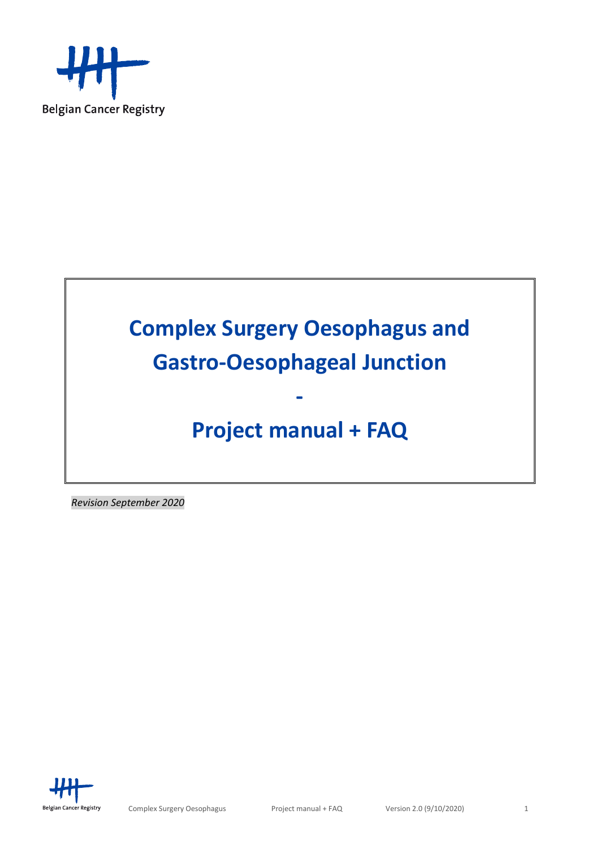

# **Complex Surgery Oesophagus and Gastro-Oesophageal Junction**

# **Project manual + FAQ**

**-**

*Revision September 2020*

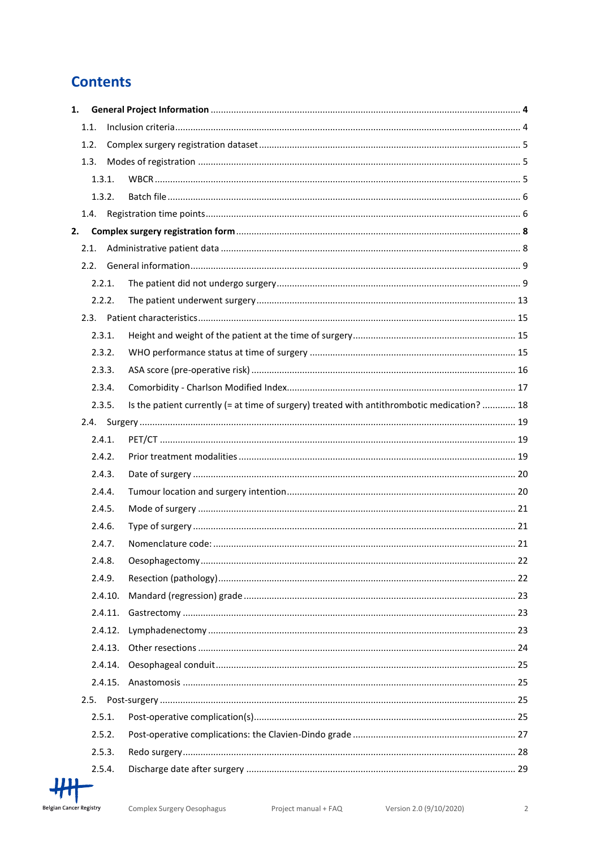# **Contents**

| 1. |        |         |                                                                                             |  |
|----|--------|---------|---------------------------------------------------------------------------------------------|--|
|    | 1.1.   |         |                                                                                             |  |
|    | 1.2.   |         |                                                                                             |  |
|    | 1.3.   |         |                                                                                             |  |
|    |        | 1.3.1.  |                                                                                             |  |
|    |        | 1.3.2.  |                                                                                             |  |
|    |        |         |                                                                                             |  |
| 2. |        |         |                                                                                             |  |
|    | 2.1.   |         |                                                                                             |  |
|    | 2.2.   |         |                                                                                             |  |
|    | 2.2.1. |         |                                                                                             |  |
|    | 2.2.2. |         |                                                                                             |  |
|    |        |         |                                                                                             |  |
|    | 2.3.1. |         |                                                                                             |  |
|    | 2.3.2. |         |                                                                                             |  |
|    | 2.3.3. |         |                                                                                             |  |
|    | 2.3.4. |         |                                                                                             |  |
|    | 2.3.5. |         | Is the patient currently (= at time of surgery) treated with antithrombotic medication?  18 |  |
|    |        |         |                                                                                             |  |
|    | 2.4.1. |         |                                                                                             |  |
|    | 2.4.2. |         |                                                                                             |  |
|    | 2.4.3. |         |                                                                                             |  |
|    | 2.4.4. |         |                                                                                             |  |
|    | 2.4.5. |         |                                                                                             |  |
|    | 2.4.6. |         |                                                                                             |  |
|    | 2.4.7. |         |                                                                                             |  |
|    | 2.4.8. |         |                                                                                             |  |
|    | 2.4.9. |         |                                                                                             |  |
|    |        | 2.4.10. |                                                                                             |  |
|    |        | 2.4.11. |                                                                                             |  |
|    |        | 2.4.12. |                                                                                             |  |
|    |        | 2.4.13. |                                                                                             |  |
|    |        | 2.4.14. |                                                                                             |  |
|    |        | 2.4.15. |                                                                                             |  |
|    | 2.5.   |         |                                                                                             |  |
|    | 2.5.1. |         |                                                                                             |  |
|    | 2.5.2. |         |                                                                                             |  |
|    | 2.5.3. |         |                                                                                             |  |
|    | 2.5.4. |         |                                                                                             |  |

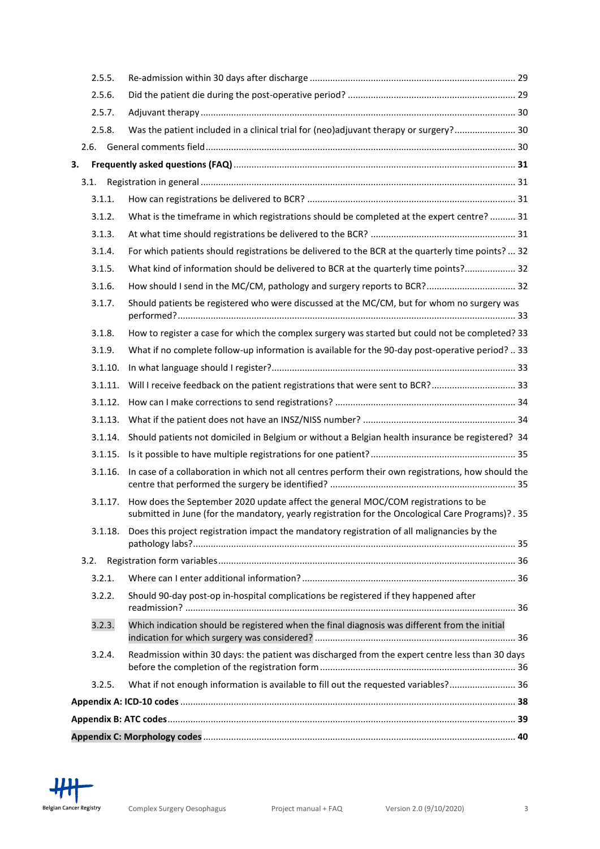<span id="page-2-0"></span>

| 2.5.5.  |                                                                                                                                                                                         |  |
|---------|-----------------------------------------------------------------------------------------------------------------------------------------------------------------------------------------|--|
| 2.5.6.  |                                                                                                                                                                                         |  |
| 2.5.7.  |                                                                                                                                                                                         |  |
| 2.5.8.  | Was the patient included in a clinical trial for (neo)adjuvant therapy or surgery? 30                                                                                                   |  |
| 2.6.    |                                                                                                                                                                                         |  |
| 3.      |                                                                                                                                                                                         |  |
| 3.1.    |                                                                                                                                                                                         |  |
| 3.1.1.  |                                                                                                                                                                                         |  |
| 3.1.2.  | What is the timeframe in which registrations should be completed at the expert centre?  31                                                                                              |  |
| 3.1.3.  |                                                                                                                                                                                         |  |
| 3.1.4.  | For which patients should registrations be delivered to the BCR at the quarterly time points?  32                                                                                       |  |
| 3.1.5.  | What kind of information should be delivered to BCR at the quarterly time points? 32                                                                                                    |  |
| 3.1.6.  | How should I send in the MC/CM, pathology and surgery reports to BCR? 32                                                                                                                |  |
| 3.1.7.  | Should patients be registered who were discussed at the MC/CM, but for whom no surgery was                                                                                              |  |
| 3.1.8.  | How to register a case for which the complex surgery was started but could not be completed? 33                                                                                         |  |
| 3.1.9.  | What if no complete follow-up information is available for the 90-day post-operative period?  33                                                                                        |  |
| 3.1.10. |                                                                                                                                                                                         |  |
| 3.1.11. | Will I receive feedback on the patient registrations that were sent to BCR? 33                                                                                                          |  |
| 3.1.12. |                                                                                                                                                                                         |  |
| 3.1.13. |                                                                                                                                                                                         |  |
| 3.1.14. | Should patients not domiciled in Belgium or without a Belgian health insurance be registered? 34                                                                                        |  |
| 3.1.15. |                                                                                                                                                                                         |  |
| 3.1.16. | In case of a collaboration in which not all centres perform their own registrations, how should the                                                                                     |  |
| 3.1.17. | How does the September 2020 update affect the general MOC/COM registrations to be<br>submitted in June (for the mandatory, yearly registration for the Oncological Care Programs)? . 35 |  |
| 3.1.18. | Does this project registration impact the mandatory registration of all malignancies by the                                                                                             |  |
| 3.2.    |                                                                                                                                                                                         |  |
| 3.2.1.  |                                                                                                                                                                                         |  |
| 3.2.2.  | Should 90-day post-op in-hospital complications be registered if they happened after                                                                                                    |  |
| 3.2.3.  | Which indication should be registered when the final diagnosis was different from the initial                                                                                           |  |
| 3.2.4.  | Readmission within 30 days: the patient was discharged from the expert centre less than 30 days                                                                                         |  |
| 3.2.5.  | What if not enough information is available to fill out the requested variables? 36                                                                                                     |  |
|         |                                                                                                                                                                                         |  |
|         |                                                                                                                                                                                         |  |
|         |                                                                                                                                                                                         |  |

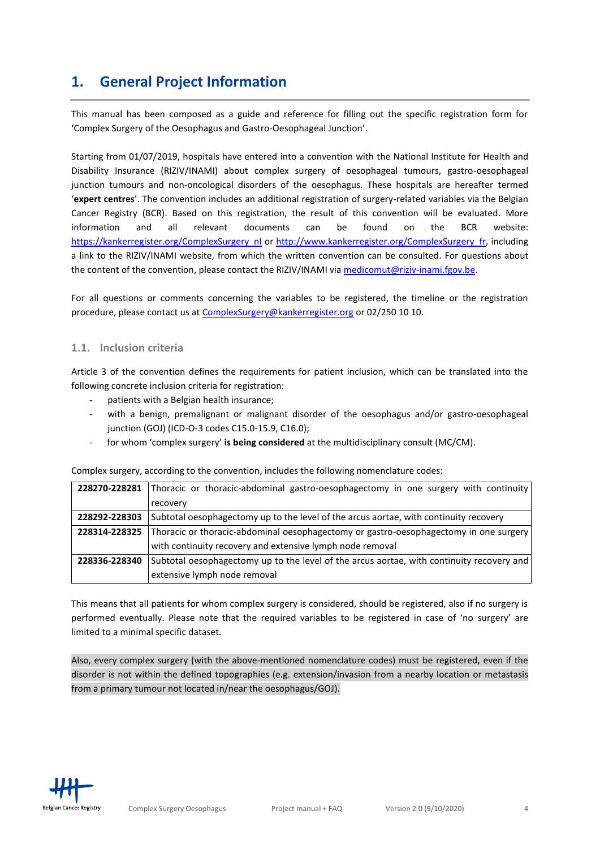# **1. General Project Information**

This manual has been composed as a guide and reference for filling out the specific registration form for 'Complex Surgery of the Oesophagus and Gastro-Oesophageal Junction'.

Starting from 01/07/2019, hospitals have entered into a convention with the National Institute for Health and Disability Insurance (RIZIV/INAMI) about complex surgery of oesophageal tumours, gastro-oesophageal junction tumours and non-oncological disorders of the oesophagus. These hospitals are hereafter termed '**expert centres**'. The convention includes an additional registration of surgery-related variables via the Belgian Cancer Registry (BCR). Based on this registration, the result of this convention will be evaluated. More information and all relevant documents can be found on the BCR website: [https://kankerregister.org/ComplexSurgery\\_nl](https://kankerregister.org/ComplexSurgery_nl) or [http://www.kankerregister.org/ComplexSurgery\\_fr,](http://www.kankerregister.org/ComplexSurgery_fr) including a link to the RIZIV/INAMI website, from which the written convention can be consulted. For questions about the content of the convention, please contact the RIZIV/INAMI via [medicomut@riziv-inami.fgov.be.](mailto:medicomut@riziv-inami.fgov.be)

For all questions or comments concerning the variables to be registered, the timeline or the registration procedure, please contact us at [ComplexSurgery@kankerregister.org](mailto:ComplexSurgery@kankerregister.org) or 02/250 10 10.

#### <span id="page-3-0"></span>**1.1. Inclusion criteria**

Article 3 of the convention defines the requirements for patient inclusion, which can be translated into the following concrete inclusion criteria for registration:

- patients with a Belgian health insurance;
- with a benign, premalignant or malignant disorder of the oesophagus and/or gastro-oesophageal junction (GOJ) (ICD-O-3 codes C15.0-15.9, C16.0);
- for whom 'complex surgery' is being considered at the multidisciplinary consult (MC/CM).

Complex surgery, according to the convention, includes the following nomenclature codes:

|               | 228270-228281 Thoracic or thoracic-abdominal gastro-oesophagectomy in one surgery with continuity |
|---------------|---------------------------------------------------------------------------------------------------|
|               | recovery                                                                                          |
| 228292-228303 | Subtotal oesophagectomy up to the level of the arcus aortae, with continuity recovery             |
| 228314-228325 | Thoracic or thoracic-abdominal oesophagectomy or gastro-oesophagectomy in one surgery             |
|               | with continuity recovery and extensive lymph node removal                                         |
| 228336-228340 | Subtotal oesophagectomy up to the level of the arcus aortae, with continuity recovery and         |
|               | extensive lymph node removal                                                                      |

This means that all patients for whom complex surgery is considered, should be registered, also if no surgery is performed eventually. Please note that the required variables to be registered in case of 'no surgery' are limited to a minimal specific dataset.

Also, every complex surgery (with the above-mentioned nomenclature codes) must be registered, even if the disorder is not within the defined topographies (e.g. extension/invasion from a nearby location or metastasis from a primary tumour not located in/near the oesophagus/GOJ).

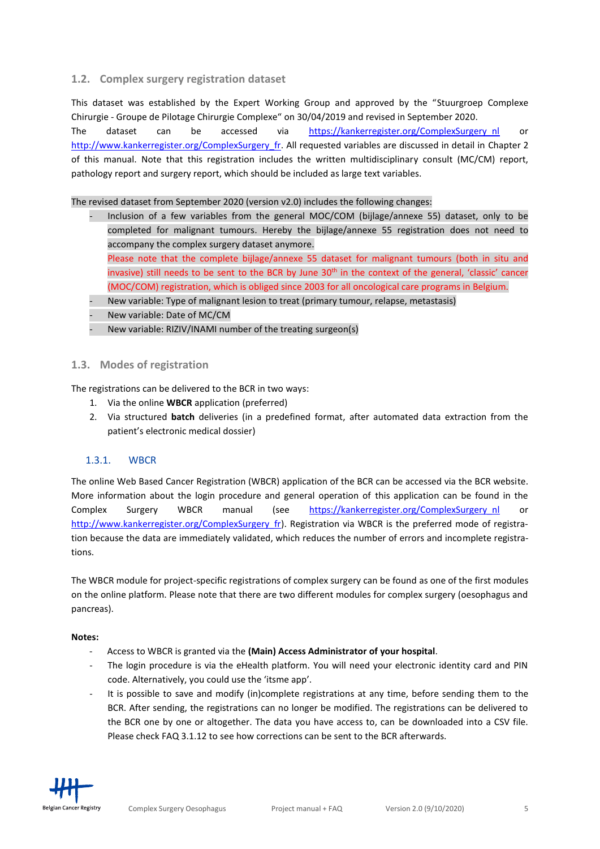#### <span id="page-4-0"></span>**1.2. Complex surgery registration dataset**

This dataset was established by the Expert Working Group and approved by the "Stuurgroep Complexe Chirurgie - Groupe de Pilotage Chirurgie Complexe" on 30/04/2019 and revised in September 2020. The dataset can be accessed via [https://kankerregister.org/ComplexSurgery\\_nl](https://kankerregister.org/ComplexSurgery_nl) or [http://www.kankerregister.org/ComplexSurgery\\_fr.](http://www.kankerregister.org/ComplexSurgery_fr) All requested variables are discussed in detail in Chapter 2 of this manual. Note that this registration includes the written multidisciplinary consult (MC/CM) report, pathology report and surgery report, which should be included as large text variables.

The revised dataset from September 2020 (version v2.0) includes the following changes:

- Inclusion of a few variables from the general MOC/COM (bijlage/annexe 55) dataset, only to be completed for malignant tumours. Hereby the bijlage/annexe 55 registration does not need to accompany the complex surgery dataset anymore. Please note that the complete bijlage/annexe 55 dataset for malignant tumours (both in situ and invasive) still needs to be sent to the BCR by June 30<sup>th</sup> in the context of the general, 'classic' cancer (MOC/COM) registration, which is obliged since 2003 for all oncological care programs in Belgium.
- New variable: Type of malignant lesion to treat (primary tumour, relapse, metastasis)
- New variable: Date of MC/CM
- New variable: RIZIV/INAMI number of the treating surgeon(s)

#### <span id="page-4-1"></span>**1.3. Modes of registration**

The registrations can be delivered to the BCR in two ways:

- 1. Via the online **WBCR** application (preferred)
- 2. Via structured **batch** deliveries (in a predefined format, after automated data extraction from the patient's electronic medical dossier)

### <span id="page-4-2"></span>1.3.1. WBCR

The online Web Based Cancer Registration (WBCR) application of the BCR can be accessed via the BCR website. More information about the login procedure and general operation of this application can be found in the Complex Surgery WBCR manual (see [https://kankerregister.org/ComplexSurgery\\_nl](https://kankerregister.org/ComplexSurgery_nl) or http://www.kankerregister.org/ComplexSurgery fr). Registration via WBCR is the preferred mode of registration because the data are immediately validated, which reduces the number of errors and incomplete registrations.

The WBCR module for project-specific registrations of complex surgery can be found as one of the first modules on the online platform. Please note that there are two different modules for complex surgery (oesophagus and pancreas).

#### **Notes:**

- Access to WBCR is granted via the **(Main) Access Administrator of your hospital**.
- The login procedure is via the eHealth platform. You will need your electronic identity card and PIN code. Alternatively, you could use the 'itsme app'.
- It is possible to save and modify (in)complete registrations at any time, before sending them to the BCR. After sending, the registrations can no longer be modified. The registrations can be delivered to the BCR one by one or altogether. The data you have access to, can be downloaded into a CSV file. Please check FAQ 3.1.12 to see how corrections can be sent to the BCR afterwards.

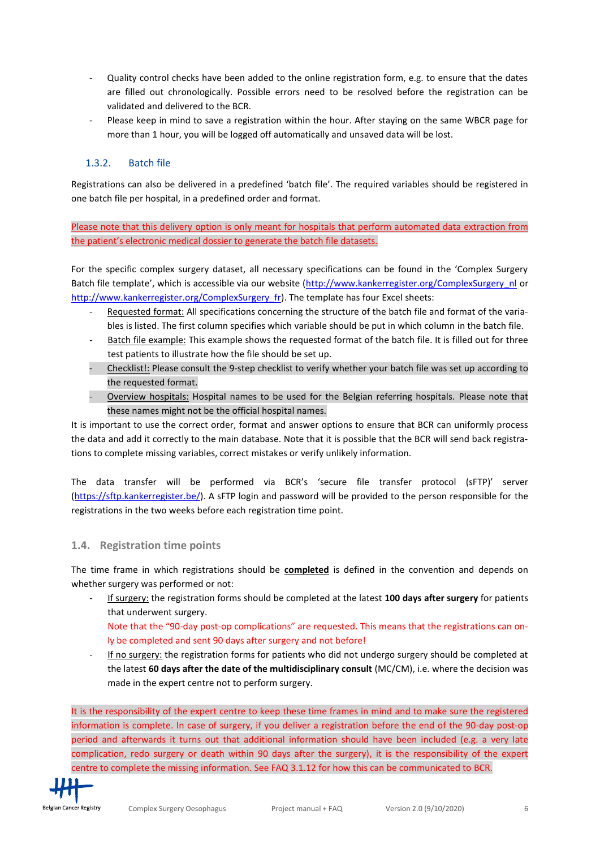- Quality control checks have been added to the online registration form, e.g. to ensure that the dates are filled out chronologically. Possible errors need to be resolved before the registration can be validated and delivered to the BCR.
- Please keep in mind to save a registration within the hour. After staying on the same WBCR page for more than 1 hour, you will be logged off automatically and unsaved data will be lost.

#### <span id="page-5-0"></span>1.3.2. Batch file

Registrations can also be delivered in a predefined 'batch file'. The required variables should be registered in one batch file per hospital, in a predefined order and format.

Please note that this delivery option is only meant for hospitals that perform automated data extraction from the patient's electronic medical dossier to generate the batch file datasets.

For the specific complex surgery dataset, all necessary specifications can be found in the 'Complex Surgery Batch file template', which is accessible via our website ([http://www.kankerregister.org/ComplexSurgery\\_nl](http://www.kankerregister.org/ComplexSurgery_nl) or [http://www.kankerregister.org/ComplexSurgery\\_fr\)](http://www.kankerregister.org/ComplexSurgery_fr). The template has four Excel sheets:

- Requested format: All specifications concerning the structure of the batch file and format of the variables is listed. The first column specifies which variable should be put in which column in the batch file.
- Batch file example: This example shows the requested format of the batch file. It is filled out for three test patients to illustrate how the file should be set up.
- Checklist!: Please consult the 9-step checklist to verify whether your batch file was set up according to the requested format.
- Overview hospitals: Hospital names to be used for the Belgian referring hospitals. Please note that these names might not be the official hospital names.

It is important to use the correct order, format and answer options to ensure that BCR can uniformly process the data and add it correctly to the main database. Note that it is possible that the BCR will send back registrations to complete missing variables, correct mistakes or verify unlikely information.

The data transfer will be performed via BCR's 'secure file transfer protocol (sFTP)' server [\(https://sftp.kankerregister.be/\)](https://sftp.kankerregister.be/). A sFTP login and password will be provided to the person responsible for the registrations in the two weeks before each registration time point.

#### <span id="page-5-1"></span>**1.4. Registration time points**

The time frame in which registrations should be **completed** is defined in the convention and depends on whether surgery was performed or not:

- If surgery: the registration forms should be completed at the latest **100 days after surgery** for patients that underwent surgery.

Note that the "90-day post-op complications" are requested. This means that the registrations can only be completed and sent 90 days after surgery and not before!

If no surgery: the registration forms for patients who did not undergo surgery should be completed at the latest **60 days after the date of the multidisciplinary consult** (MC/CM), i.e. where the decision was made in the expert centre not to perform surgery.

It is the responsibility of the expert centre to keep these time frames in mind and to make sure the registered information is complete. In case of surgery, if you deliver a registration before the end of the 90-day post-op period and afterwards it turns out that additional information should have been included (e.g. a very late complication, redo surgery or death within 90 days after the surgery), it is the responsibility of the expert centre to complete the missing information. See FAQ 3.1.12 for how this can be communicated to BCR.

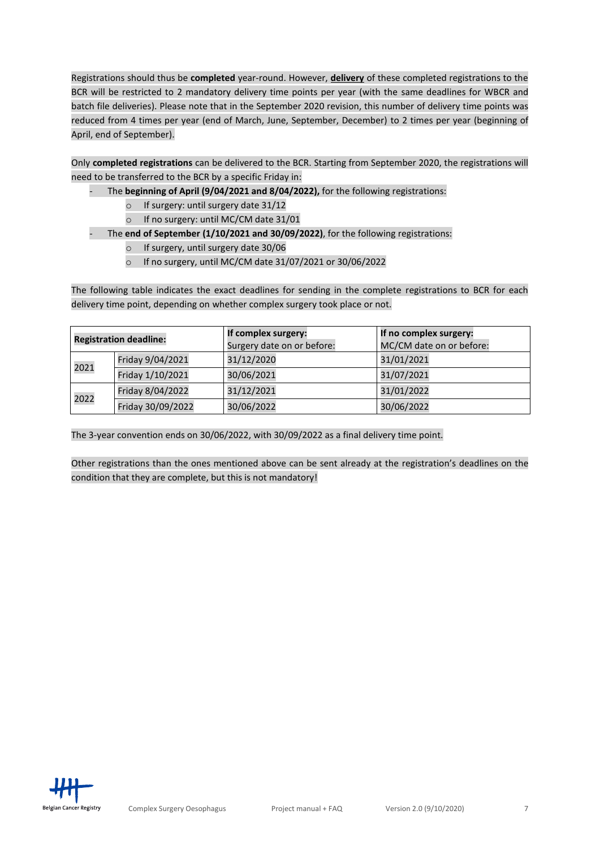Registrations should thus be **completed** year-round. However, **delivery** of these completed registrations to the BCR will be restricted to 2 mandatory delivery time points per year (with the same deadlines for WBCR and batch file deliveries). Please note that in the September 2020 revision, this number of delivery time points was reduced from 4 times per year (end of March, June, September, December) to 2 times per year (beginning of April, end of September).

Only **completed registrations** can be delivered to the BCR. Starting from September 2020, the registrations will need to be transferred to the BCR by a specific Friday in:

- The **beginning of April (9/04/2021 and 8/04/2022),** for the following registrations:
	- o If surgery: until surgery date 31/12
	- o If no surgery: until MC/CM date 31/01
- The **end of September (1/10/2021 and 30/09/2022)**, for the following registrations:
	- o If surgery, until surgery date 30/06
	- o If no surgery, until MC/CM date 31/07/2021 or 30/06/2022

The following table indicates the exact deadlines for sending in the complete registrations to BCR for each delivery time point, depending on whether complex surgery took place or not.

|      | <b>Registration deadline:</b> | If complex surgery:<br>Surgery date on or before: | If no complex surgery:<br>MC/CM date on or before: |
|------|-------------------------------|---------------------------------------------------|----------------------------------------------------|
| 2021 | Friday 9/04/2021              | 31/12/2020                                        | 31/01/2021                                         |
|      | Friday 1/10/2021              | 30/06/2021                                        | 31/07/2021                                         |
|      | Friday 8/04/2022              | 31/12/2021                                        | 31/01/2022                                         |
| 2022 | Friday 30/09/2022             | 30/06/2022                                        | 30/06/2022                                         |

The 3-year convention ends on 30/06/2022, with 30/09/2022 as a final delivery time point.

Other registrations than the ones mentioned above can be sent already at the registration's deadlines on the condition that they are complete, but this is not mandatory!

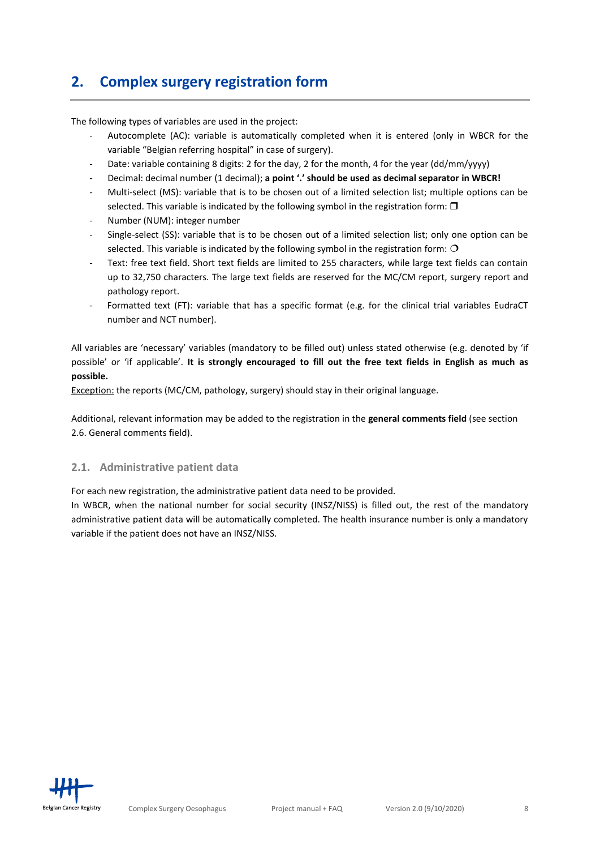# <span id="page-7-0"></span>**2. Complex surgery registration form**

The following types of variables are used in the project:

- Autocomplete (AC): variable is automatically completed when it is entered (only in WBCR for the variable "Belgian referring hospital" in case of surgery).
- Date: variable containing 8 digits: 2 for the day, 2 for the month, 4 for the year (dd/mm/yyyy)
- Decimal: decimal number (1 decimal); **a point '.' should be used as decimal separator in WBCR!**
- Multi-select (MS): variable that is to be chosen out of a limited selection list; multiple options can be selected. This variable is indicated by the following symbol in the registration form:  $\Box$
- Number (NUM): integer number
- Single-select (SS): variable that is to be chosen out of a limited selection list; only one option can be selected. This variable is indicated by the following symbol in the registration form:  $O$
- Text: free text field. Short text fields are limited to 255 characters, while large text fields can contain up to 32,750 characters. The large text fields are reserved for the MC/CM report, surgery report and pathology report.
- Formatted text (FT): variable that has a specific format (e.g. for the clinical trial variables EudraCT number and NCT number).

All variables are 'necessary' variables (mandatory to be filled out) unless stated otherwise (e.g. denoted by 'if possible' or 'if applicable'. **It is strongly encouraged to fill out the free text fields in English as much as possible.**

Exception: the reports (MC/CM, pathology, surgery) should stay in their original language.

Additional, relevant information may be added to the registration in the **general comments field** (see section 2.6. General comments field).

#### <span id="page-7-1"></span>**2.1. Administrative patient data**

For each new registration, the administrative patient data need to be provided.

In WBCR, when the national number for social security (INSZ/NISS) is filled out, the rest of the mandatory administrative patient data will be automatically completed. The health insurance number is only a mandatory variable if the patient does not have an INSZ/NISS.

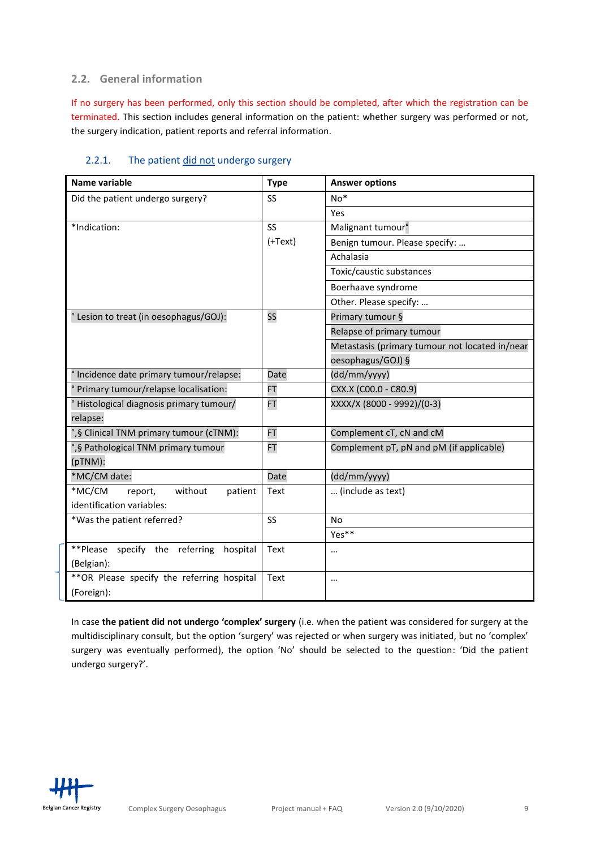#### <span id="page-8-0"></span>**2.2. General information**

If no surgery has been performed, only this section should be completed, after which the registration can be terminated. This section includes general information on the patient: whether surgery was performed or not, the surgery indication, patient reports and referral information.

| Name variable                               | <b>Type</b> | <b>Answer options</b>                          |
|---------------------------------------------|-------------|------------------------------------------------|
| Did the patient undergo surgery?            | SS          | $No*$                                          |
|                                             |             | Yes                                            |
| *Indication:                                | <b>SS</b>   | Malignant tumour <sup>°</sup>                  |
|                                             | $(+Text)$   | Benign tumour. Please specify:                 |
|                                             |             | Achalasia                                      |
|                                             |             | Toxic/caustic substances                       |
|                                             |             | Boerhaave syndrome                             |
|                                             |             | Other. Please specify:                         |
| ° Lesion to treat (in oesophagus/GOJ):      | SS          | Primary tumour §                               |
|                                             |             | Relapse of primary tumour                      |
|                                             |             | Metastasis (primary tumour not located in/near |
|                                             |             | oesophagus/GOJ) §                              |
| ° Incidence date primary tumour/relapse:    | Date        | (dd/mm/yyyy)                                   |
| ° Primary tumour/relapse localisation:      | <b>FT</b>   | CXX.X (C00.0 - C80.9)                          |
| ° Histological diagnosis primary tumour/    | FT          | XXXX/X (8000 - 9992)/(0-3)                     |
| relapse:                                    |             |                                                |
| °,§ Clinical TNM primary tumour (cTNM):     | <b>FT</b>   | Complement cT, cN and cM                       |
| °,§ Pathological TNM primary tumour         | <b>FT</b>   | Complement pT, pN and pM (if applicable)       |
| (pTNM):                                     |             |                                                |
| *MC/CM date:                                | Date        | (dd/mm/yyyy)                                   |
| *MC/CM<br>without<br>report,<br>patient     | Text        | (include as text)                              |
| identification variables:                   |             |                                                |
| *Was the patient referred?                  | SS          | <b>No</b>                                      |
|                                             |             | Yes**                                          |
| **Please specify the referring hospital     | Text        | $\cdots$                                       |
| (Belgian):                                  |             |                                                |
| ** OR Please specify the referring hospital | Text        | $\cdots$                                       |
| (Foreign):                                  |             |                                                |

## <span id="page-8-1"></span>2.2.1. The patient did not undergo surgery

In case **the patient did not undergo 'complex' surgery** (i.e. when the patient was considered for surgery at the multidisciplinary consult, but the option 'surgery' was rejected or when surgery was initiated, but no 'complex' surgery was eventually performed), the option 'No' should be selected to the question: 'Did the patient undergo surgery?'.

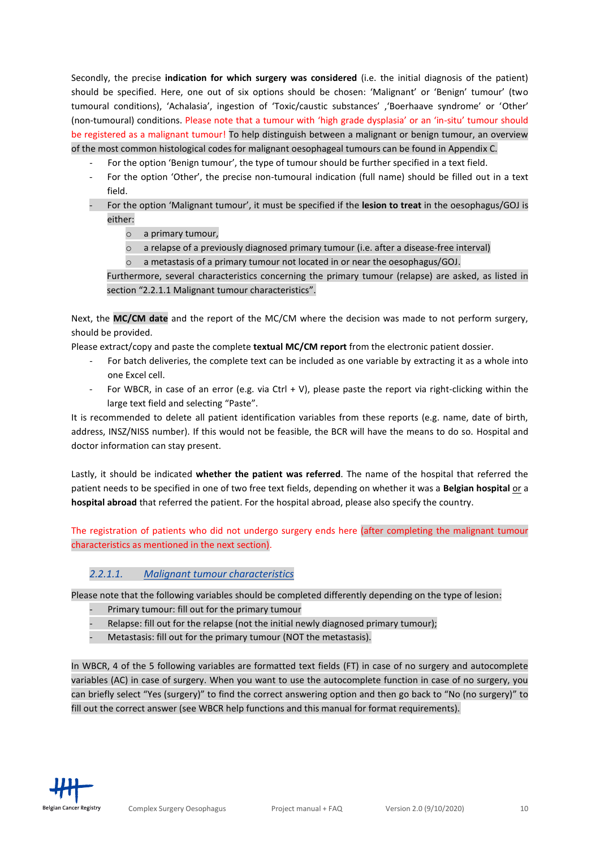Secondly, the precise **indication for which surgery was considered** (i.e. the initial diagnosis of the patient) should be specified. Here, one out of six options should be chosen: 'Malignant' or 'Benign' tumour' (two tumoural conditions), 'Achalasia', ingestion of 'Toxic/caustic substances' ,'Boerhaave syndrome' or 'Other' (non-tumoural) conditions. Please note that a tumour with 'high grade dysplasia' or an 'in-situ' tumour should be registered as a malignant tumour! To help distinguish between a malignant or benign tumour, an overview of the most common histological codes for malignant oesophageal tumours can be found in Appendix C.

- For the option 'Benign tumour', the type of tumour should be further specified in a text field.
- For the option 'Other', the precise non-tumoural indication (full name) should be filled out in a text field.
- For the option 'Malignant tumour', it must be specified if the **lesion to treat** in the oesophagus/GOJ is either:
	- o a primary tumour,
	- $\circ$  a relapse of a previously diagnosed primary tumour (i.e. after a disease-free interval)
	- $\circ$  a metastasis of a primary tumour not located in or near the oesophagus/GOJ.

Furthermore, several characteristics concerning the primary tumour (relapse) are asked, as listed in section "2.2.1.1 Malignant tumour characteristics".

Next, the **MC/CM date** and the report of the MC/CM where the decision was made to not perform surgery, should be provided.

Please extract/copy and paste the complete **textual MC/CM report** from the electronic patient dossier.

- For batch deliveries, the complete text can be included as one variable by extracting it as a whole into one Excel cell.
- For WBCR, in case of an error (e.g. via Ctrl + V), please paste the report via right-clicking within the large text field and selecting "Paste".

It is recommended to delete all patient identification variables from these reports (e.g. name, date of birth, address, INSZ/NISS number). If this would not be feasible, the BCR will have the means to do so. Hospital and doctor information can stay present.

Lastly, it should be indicated **whether the patient was referred**. The name of the hospital that referred the patient needs to be specified in one of two free text fields, depending on whether it was a **Belgian hospital** or a **hospital abroad** that referred the patient. For the hospital abroad, please also specify the country.

The registration of patients who did not undergo surgery ends here (after completing the malignant tumour characteristics as mentioned in the next section).

#### *2.2.1.1. Malignant tumour characteristics*

Please note that the following variables should be completed differently depending on the type of lesion:

- Primary tumour: fill out for the primary tumour
- Relapse: fill out for the relapse (not the initial newly diagnosed primary tumour);
- Metastasis: fill out for the primary tumour (NOT the metastasis).

In WBCR, 4 of the 5 following variables are formatted text fields (FT) in case of no surgery and autocomplete variables (AC) in case of surgery. When you want to use the autocomplete function in case of no surgery, you can briefly select "Yes (surgery)" to find the correct answering option and then go back to "No (no surgery)" to fill out the correct answer (see WBCR help functions and this manual for format requirements).

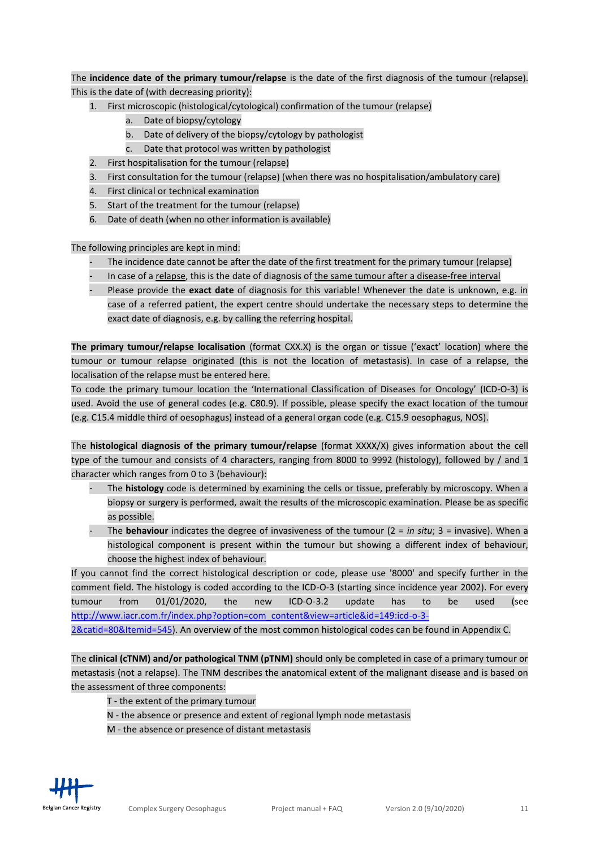The **incidence date of the primary tumour/relapse** is the date of the first diagnosis of the tumour (relapse). This is the date of (with decreasing priority):

- 1. First microscopic (histological/cytological) confirmation of the tumour (relapse)
	- a. Date of biopsy/cytology
	- b. Date of delivery of the biopsy/cytology by pathologist
	- c. Date that protocol was written by pathologist
- 2. First hospitalisation for the tumour (relapse)
- 3. First consultation for the tumour (relapse) (when there was no hospitalisation/ambulatory care)
- 4. First clinical or technical examination
- 5. Start of the treatment for the tumour (relapse)
- 6. Date of death (when no other information is available)

The following principles are kept in mind:

- The incidence date cannot be after the date of the first treatment for the primary tumour (relapse)
- In case of a relapse, this is the date of diagnosis of the same tumour after a disease-free interval
- Please provide the **exact date** of diagnosis for this variable! Whenever the date is unknown, e.g. in case of a referred patient, the expert centre should undertake the necessary steps to determine the exact date of diagnosis, e.g. by calling the referring hospital.

**The primary tumour/relapse localisation** (format CXX.X) is the organ or tissue ('exact' location) where the tumour or tumour relapse originated (this is not the location of metastasis). In case of a relapse, the localisation of the relapse must be entered here.

To code the primary tumour location the 'International Classification of Diseases for Oncology' (ICD-O-3) is used. Avoid the use of general codes (e.g. C80.9). If possible, please specify the exact location of the tumour (e.g. C15.4 middle third of oesophagus) instead of a general organ code (e.g. C15.9 oesophagus, NOS).

The **histological diagnosis of the primary tumour/relapse** (format XXXX/X) gives information about the cell type of the tumour and consists of 4 characters, ranging from 8000 to 9992 (histology), followed by / and 1 character which ranges from 0 to 3 (behaviour):

- The **histology** code is determined by examining the cells or tissue, preferably by microscopy. When a biopsy or surgery is performed, await the results of the microscopic examination. Please be as specific as possible.
- The **behaviour** indicates the degree of invasiveness of the tumour (2 = *in situ*; 3 = invasive). When a histological component is present within the tumour but showing a different index of behaviour, choose the highest index of behaviour.

If you cannot find the correct histological description or code, please use '8000' and specify further in the comment field. The histology is coded according to the ICD-O-3 (starting since incidence year 2002). For every tumour from 01/01/2020, the new ICD-O-3.2 update has to be used (see [http://www.iacr.com.fr/index.php?option=com\\_content&view=article&id=149:icd-o-3-](http://www.iacr.com.fr/index.php?option=com_content&view=article&id=149:icd-o-3-2&catid=80&Itemid=545)

[2&catid=80&Itemid=545\)](http://www.iacr.com.fr/index.php?option=com_content&view=article&id=149:icd-o-3-2&catid=80&Itemid=545). An overview of the most common histological codes can be found in Appendix C.

The **clinical (cTNM) and/or pathological TNM (pTNM)** should only be completed in case of a primary tumour or metastasis (not a relapse). The TNM describes the anatomical extent of the malignant disease and is based on the assessment of three components:

T - the extent of the primary tumour

- N the absence or presence and extent of regional lymph node metastasis
- M the absence or presence of distant metastasis

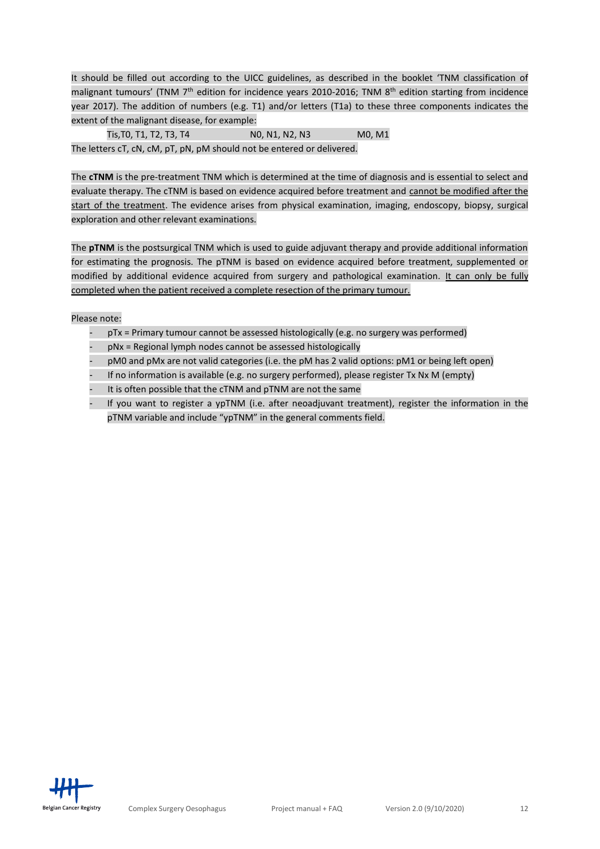It should be filled out according to the UICC guidelines, as described in the booklet 'TNM classification of malignant tumours' (TNM 7<sup>th</sup> edition for incidence years 2010-2016; TNM 8<sup>th</sup> edition starting from incidence year 2017). The addition of numbers (e.g. T1) and/or letters (T1a) to these three components indicates the extent of the malignant disease, for example:

Tis, T0, T1, T2, T3, T4 N0, N1, N2, N3 M0, M1 The letters cT, cN, cM, pT, pN, pM should not be entered or delivered.

The **cTNM** is the pre-treatment TNM which is determined at the time of diagnosis and is essential to select and evaluate therapy. The cTNM is based on evidence acquired before treatment and cannot be modified after the start of the treatment. The evidence arises from physical examination, imaging, endoscopy, biopsy, surgical exploration and other relevant examinations.

The **pTNM** is the postsurgical TNM which is used to guide adjuvant therapy and provide additional information for estimating the prognosis. The pTNM is based on evidence acquired before treatment, supplemented or modified by additional evidence acquired from surgery and pathological examination. It can only be fully completed when the patient received a complete resection of the primary tumour.

Please note:

- $pTx = Primary$  tumour cannot be assessed histologically (e.g. no surgery was performed)
- pNx = Regional lymph nodes cannot be assessed histologically
- pM0 and pMx are not valid categories (i.e. the pM has 2 valid options: pM1 or being left open)
- If no information is available (e.g. no surgery performed), please register Tx Nx M (empty)
- It is often possible that the cTNM and pTNM are not the same
- If you want to register a ypTNM (i.e. after neoadjuvant treatment), register the information in the pTNM variable and include "ypTNM" in the general comments field.

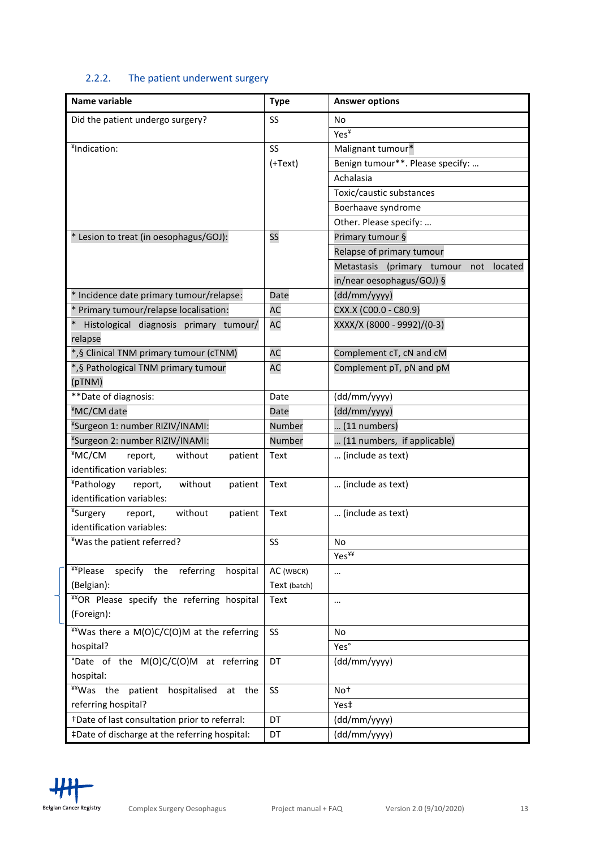# <span id="page-12-0"></span>2.2.2. The patient underwent surgery

| Name variable                                              | <b>Type</b>  | <b>Answer options</b>                  |
|------------------------------------------------------------|--------------|----------------------------------------|
| Did the patient undergo surgery?                           | SS           | No                                     |
|                                                            |              | Yes¥                                   |
| ¥Indication:                                               | SS           | Malignant tumour*                      |
|                                                            | $(+Text)$    | Benign tumour**. Please specify:       |
|                                                            |              | Achalasia                              |
|                                                            |              | Toxic/caustic substances               |
|                                                            |              | Boerhaave syndrome                     |
|                                                            |              | Other. Please specify:                 |
| * Lesion to treat (in oesophagus/GOJ):                     | SS           | Primary tumour §                       |
|                                                            |              | Relapse of primary tumour              |
|                                                            |              | Metastasis (primary tumour not located |
|                                                            |              | in/near oesophagus/GOJ) §              |
| * Incidence date primary tumour/relapse:                   | Date         | (dd/mm/yyyy)                           |
| * Primary tumour/relapse localisation:                     | <b>AC</b>    | CXX.X (C00.0 - C80.9)                  |
| Histological diagnosis primary tumour/                     | <b>AC</b>    | XXXX/X (8000 - 9992)/(0-3)             |
| relapse                                                    |              |                                        |
| *,§ Clinical TNM primary tumour (cTNM)                     | <b>AC</b>    | Complement cT, cN and cM               |
| *,§ Pathological TNM primary tumour                        | <b>AC</b>    | Complement pT, pN and pM               |
| (pTNM)                                                     |              |                                        |
| **Date of diagnosis:                                       | Date         | (dd/mm/yyyy)                           |
| ¥MC/CM date                                                | Date         | (dd/mm/yyyy)                           |
| <sup>¥</sup> Surgeon 1: number RIZIV/INAMI:                | Number       | $\dots$ (11 numbers)                   |
| <sup>¥</sup> Surgeon 2: number RIZIV/INAMI:                | Number       | (11 numbers, if applicable)            |
| ¥MC/CM<br>report,<br>without<br>patient                    | Text         | (include as text)                      |
| identification variables:                                  |              |                                        |
| ¥Pathology<br>without<br>report,<br>patient                | Text         | (include as text)                      |
| identification variables:                                  |              |                                        |
| ¥Surgery<br>without<br>patient<br>report,                  | Text         | (include as text)                      |
| identification variables:                                  |              |                                        |
| ¥Was the patient referred?                                 | SS           | No                                     |
|                                                            |              | Yes¥¥                                  |
| <b>¥¥Please</b><br>specify<br>the<br>referring<br>hospital | AC (WBCR)    | $\cdots$                               |
| (Belgian):                                                 | Text (batch) |                                        |
| **OR Please specify the referring hospital                 | Text         | $\cdots$                               |
| (Foreign):                                                 |              |                                        |
| **Was there a M(O)C/C(O)M at the referring                 | SS           | No                                     |
| hospital?                                                  |              | Yes°                                   |
| °Date of the M(O)C/C(O)M at referring                      | DT           | (dd/mm/yyyy)                           |
| hospital:                                                  |              |                                        |
| **Was the patient hospitalised at the                      | SS           | Not                                    |
| referring hospital?                                        |              | Yes‡                                   |
| +Date of last consultation prior to referral:              | DT           | (dd/mm/yyyy)                           |
| #Date of discharge at the referring hospital:              | DT           | (dd/mm/yyyy)                           |

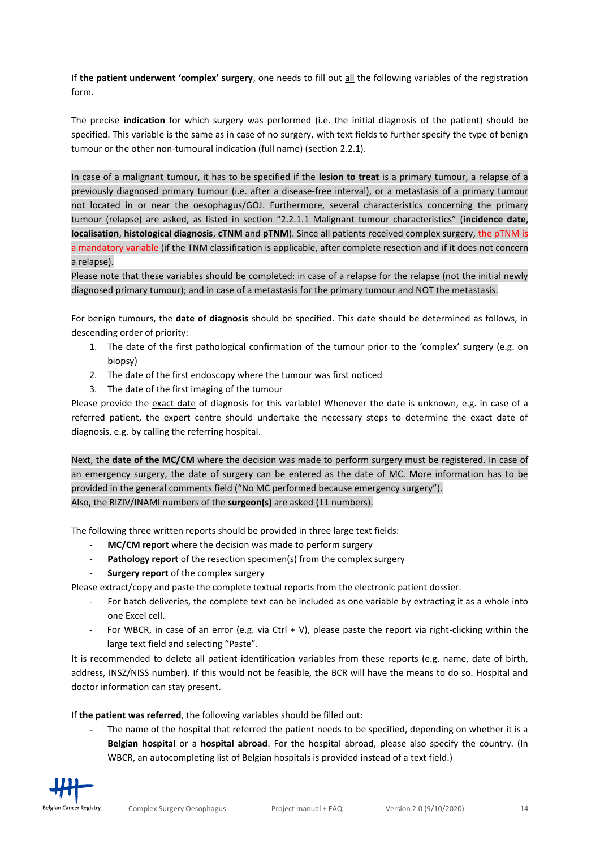If **the patient underwent 'complex' surgery**, one needs to fill out all the following variables of the registration form.

The precise **indication** for which surgery was performed (i.e. the initial diagnosis of the patient) should be specified. This variable is the same as in case of no surgery, with text fields to further specify the type of benign tumour or the other non-tumoural indication (full name) (section 2.2.1).

In case of a malignant tumour, it has to be specified if the **lesion to treat** is a primary tumour, a relapse of a previously diagnosed primary tumour (i.e. after a disease-free interval), or a metastasis of a primary tumour not located in or near the oesophagus/GOJ. Furthermore, several characteristics concerning the primary tumour (relapse) are asked, as listed in section "2.2.1.1 Malignant tumour characteristics" (**incidence date**, **localisation**, **histological diagnosis**, **cTNM** and **pTNM**). Since all patients received complex surgery, the pTNM is a mandatory variable (if the TNM classification is applicable, after complete resection and if it does not concern a relapse).

Please note that these variables should be completed: in case of a relapse for the relapse (not the initial newly diagnosed primary tumour); and in case of a metastasis for the primary tumour and NOT the metastasis.

For benign tumours, the **date of diagnosis** should be specified. This date should be determined as follows, in descending order of priority:

- 1. The date of the first pathological confirmation of the tumour prior to the 'complex' surgery (e.g. on biopsy)
- 2. The date of the first endoscopy where the tumour was first noticed
- 3. The date of the first imaging of the tumour

Please provide the exact date of diagnosis for this variable! Whenever the date is unknown, e.g. in case of a referred patient, the expert centre should undertake the necessary steps to determine the exact date of diagnosis, e.g. by calling the referring hospital.

Next, the **date of the MC/CM** where the decision was made to perform surgery must be registered. In case of an emergency surgery, the date of surgery can be entered as the date of MC. More information has to be provided in the general comments field ("No MC performed because emergency surgery"). Also, the RIZIV/INAMI numbers of the **surgeon(s)** are asked (11 numbers).

The following three written reports should be provided in three large text fields:

- **MC/CM report** where the decision was made to perform surgery
- Pathology report of the resection specimen(s) from the complex surgery
- **Surgery report** of the complex surgery

Please extract/copy and paste the complete textual reports from the electronic patient dossier.

- For batch deliveries, the complete text can be included as one variable by extracting it as a whole into one Excel cell.
- For WBCR, in case of an error (e.g. via Ctrl + V), please paste the report via right-clicking within the large text field and selecting "Paste".

It is recommended to delete all patient identification variables from these reports (e.g. name, date of birth, address, INSZ/NISS number). If this would not be feasible, the BCR will have the means to do so. Hospital and doctor information can stay present.

If **the patient was referred**, the following variables should be filled out:

The name of the hospital that referred the patient needs to be specified, depending on whether it is a **Belgian hospital or a hospital abroad**. For the hospital abroad, please also specify the country. (In WBCR, an autocompleting list of Belgian hospitals is provided instead of a text field.)

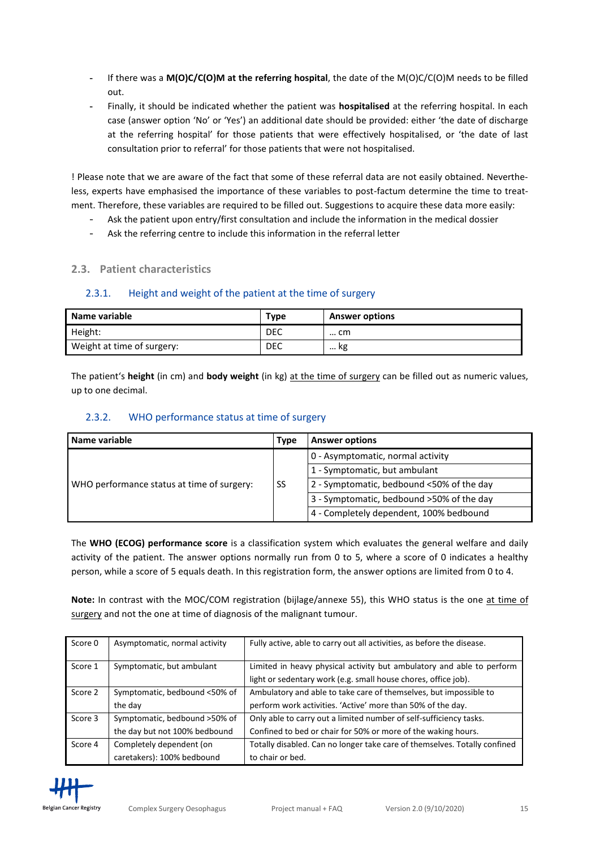- **-** If there was a **M(O)C/C(O)M at the referring hospital**, the date of the M(O)C/C(O)M needs to be filled out.
- **-** Finally, it should be indicated whether the patient was **hospitalised** at the referring hospital. In each case (answer option 'No' or 'Yes') an additional date should be provided: either 'the date of discharge at the referring hospital' for those patients that were effectively hospitalised, or 'the date of last consultation prior to referral' for those patients that were not hospitalised.

! Please note that we are aware of the fact that some of these referral data are not easily obtained. Nevertheless, experts have emphasised the importance of these variables to post-factum determine the time to treatment. Therefore, these variables are required to be filled out. Suggestions to acquire these data more easily:

- Ask the patient upon entry/first consultation and include the information in the medical dossier
- Ask the referring centre to include this information in the referral letter

### <span id="page-14-0"></span>**2.3. Patient characteristics**

#### <span id="page-14-1"></span>2.3.1. Height and weight of the patient at the time of surgery

| Name variable              | Type       | <b>Answer options</b> |
|----------------------------|------------|-----------------------|
| Height:                    | <b>DEC</b> | cm                    |
| Weight at time of surgery: | <b>DEC</b> | kg                    |

The patient's **height** (in cm) and **body weight** (in kg) at the time of surgery can be filled out as numeric values, up to one decimal.

### <span id="page-14-2"></span>2.3.2. WHO performance status at time of surgery

| Name variable                              |    | <b>Answer options</b>                     |
|--------------------------------------------|----|-------------------------------------------|
|                                            | SS | 0 - Asymptomatic, normal activity         |
|                                            |    | 1 - Symptomatic, but ambulant             |
| WHO performance status at time of surgery: |    | 2 - Symptomatic, bedbound <50% of the day |
|                                            |    | 3 - Symptomatic, bedbound >50% of the day |
|                                            |    | 4 - Completely dependent, 100% bedbound   |

The **WHO (ECOG) performance score** is a classification system which evaluates the general welfare and daily activity of the patient. The answer options normally run from 0 to 5, where a score of 0 indicates a healthy person, while a score of 5 equals death. In this registration form, the answer options are limited from 0 to 4.

Note: In contrast with the MOC/COM registration (bijlage/annexe 55), this WHO status is the one at time of surgery and not the one at time of diagnosis of the malignant tumour.

| Score 0 | Asymptomatic, normal activity | Fully active, able to carry out all activities, as before the disease.    |
|---------|-------------------------------|---------------------------------------------------------------------------|
| Score 1 | Symptomatic, but ambulant     | Limited in heavy physical activity but ambulatory and able to perform     |
|         |                               | light or sedentary work (e.g. small house chores, office job).            |
| Score 2 | Symptomatic, bedbound <50% of | Ambulatory and able to take care of themselves, but impossible to         |
|         | the day                       | perform work activities. 'Active' more than 50% of the day.               |
| Score 3 | Symptomatic, bedbound >50% of | Only able to carry out a limited number of self-sufficiency tasks.        |
|         | the day but not 100% bedbound | Confined to bed or chair for 50% or more of the waking hours.             |
| Score 4 | Completely dependent (on      | Totally disabled. Can no longer take care of themselves. Totally confined |
|         | caretakers): 100% bedbound    | to chair or bed.                                                          |

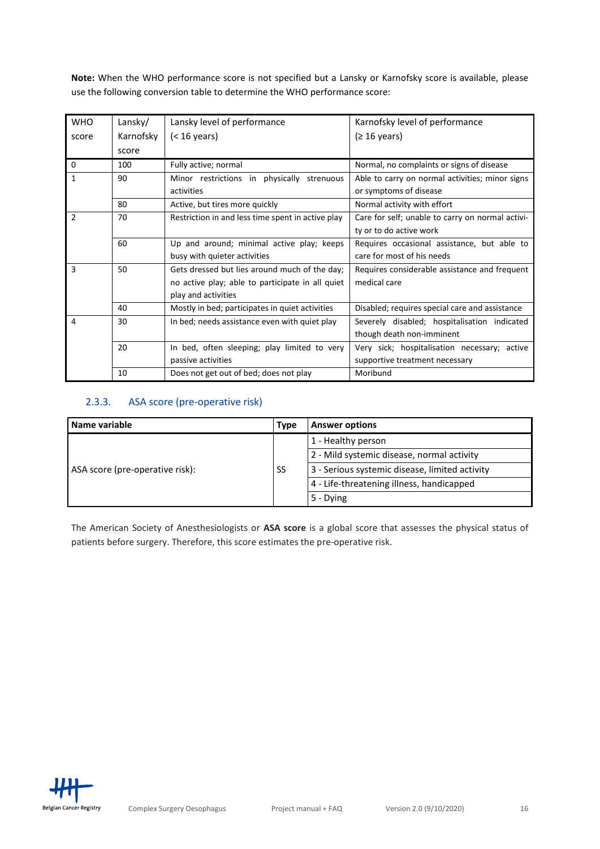**Note:** When the WHO performance score is not specified but a Lansky or Karnofsky score is available, please use the following conversion table to determine the WHO performance score:

| <b>WHO</b>                           | Lansky/ | Lansky level of performance                       | Karnofsky level of performance                   |
|--------------------------------------|---------|---------------------------------------------------|--------------------------------------------------|
| Karnofsky<br>$(< 16$ years)<br>score |         |                                                   | (≥ 16 years)                                     |
|                                      | score   |                                                   |                                                  |
| 0                                    | 100     | Fully active; normal                              | Normal, no complaints or signs of disease        |
| $\mathbf{1}$                         | 90      | Minor restrictions in physically<br>strenuous     | Able to carry on normal activities; minor signs  |
|                                      |         | activities                                        | or symptoms of disease                           |
|                                      | 80      | Active, but tires more quickly                    | Normal activity with effort                      |
| $\mathfrak{p}$                       | 70      | Restriction in and less time spent in active play | Care for self; unable to carry on normal activi- |
|                                      |         |                                                   | ty or to do active work                          |
|                                      | 60      | Up and around; minimal active play; keeps         | Requires occasional assistance, but able to      |
|                                      |         | busy with quieter activities                      | care for most of his needs                       |
| 3                                    | 50      | Gets dressed but lies around much of the day;     | Requires considerable assistance and frequent    |
|                                      |         | no active play; able to participate in all quiet  | medical care                                     |
|                                      |         | play and activities                               |                                                  |
|                                      | 40      | Mostly in bed; participates in quiet activities   | Disabled; requires special care and assistance   |
| 4                                    | 30      | In bed; needs assistance even with quiet play     | Severely disabled; hospitalisation indicated     |
|                                      |         |                                                   | though death non-imminent                        |
|                                      | 20      | In bed, often sleeping; play limited to very      | Very sick; hospitalisation necessary; active     |
|                                      |         | passive activities                                | supportive treatment necessary                   |
|                                      | 10      | Does not get out of bed; does not play            | Moribund                                         |

#### <span id="page-15-0"></span>2.3.3. ASA score (pre-operative risk)

| Name variable<br><b>Type</b>    |    | <b>Answer options</b>                          |
|---------------------------------|----|------------------------------------------------|
|                                 | SS | 1 - Healthy person                             |
|                                 |    | 2 - Mild systemic disease, normal activity     |
| ASA score (pre-operative risk): |    | 3 - Serious systemic disease, limited activity |
|                                 |    | 4 - Life-threatening illness, handicapped      |
|                                 |    | 5 - Dying                                      |

The American Society of Anesthesiologists or **ASA score** is a global score that assesses the physical status of patients before surgery. Therefore, this score estimates the pre-operative risk.

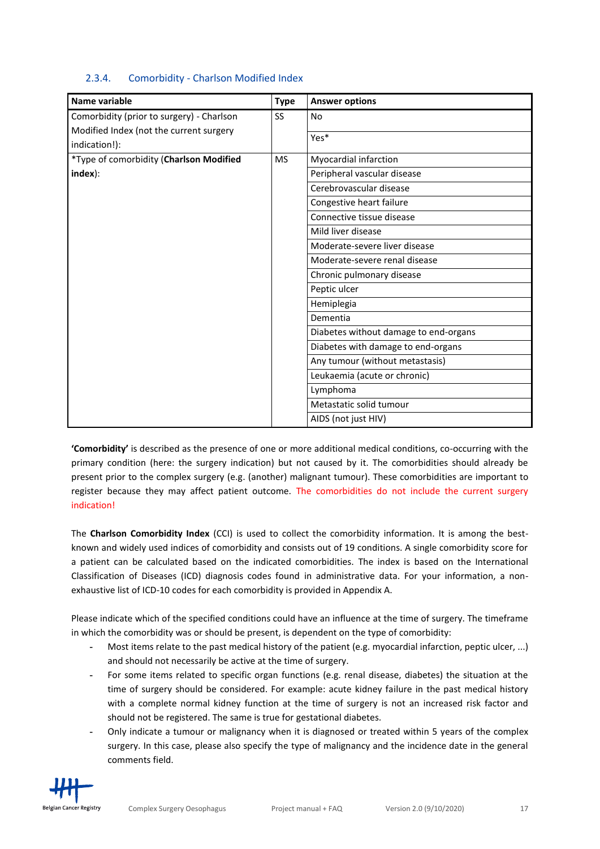#### <span id="page-16-0"></span>2.3.4. Comorbidity - Charlson Modified Index

| Name variable                             | <b>Type</b> | <b>Answer options</b>                 |
|-------------------------------------------|-------------|---------------------------------------|
| Comorbidity (prior to surgery) - Charlson | SS          | No                                    |
| Modified Index (not the current surgery   |             |                                       |
| indication!):                             |             | Yes*                                  |
| *Type of comorbidity (Charlson Modified   | <b>MS</b>   | Myocardial infarction                 |
| index):                                   |             | Peripheral vascular disease           |
|                                           |             | Cerebrovascular disease               |
|                                           |             | Congestive heart failure              |
|                                           |             | Connective tissue disease             |
|                                           |             | Mild liver disease                    |
|                                           |             | Moderate-severe liver disease         |
|                                           |             | Moderate-severe renal disease         |
|                                           |             | Chronic pulmonary disease             |
|                                           |             | Peptic ulcer                          |
|                                           |             | Hemiplegia                            |
|                                           |             | Dementia                              |
|                                           |             | Diabetes without damage to end-organs |
|                                           |             | Diabetes with damage to end-organs    |
|                                           |             | Any tumour (without metastasis)       |
|                                           |             | Leukaemia (acute or chronic)          |
|                                           |             | Lymphoma                              |
|                                           |             | Metastatic solid tumour               |
|                                           |             | AIDS (not just HIV)                   |

**'Comorbidity'** is described as the presence of one or more additional medical conditions, co-occurring with the primary condition (here: the surgery indication) but not caused by it. The comorbidities should already be present prior to the complex surgery (e.g. (another) malignant tumour). These comorbidities are important to register because they may affect patient outcome. The comorbidities do not include the current surgery indication!

The **Charlson Comorbidity Index** (CCI) is used to collect the comorbidity information. It is among the bestknown and widely used indices of comorbidity and consists out of 19 conditions. A single comorbidity score for a patient can be calculated based on the indicated comorbidities. The index is based on the International Classification of Diseases (ICD) diagnosis codes found in administrative data. For your information, a nonexhaustive list of ICD-10 codes for each comorbidity is provided in Appendix A.

Please indicate which of the specified conditions could have an influence at the time of surgery. The timeframe in which the comorbidity was or should be present, is dependent on the type of comorbidity:

- **-** Most items relate to the past medical history of the patient (e.g. myocardial infarction, peptic ulcer, ...) and should not necessarily be active at the time of surgery.
- **-** For some items related to specific organ functions (e.g. renal disease, diabetes) the situation at the time of surgery should be considered. For example: acute kidney failure in the past medical history with a complete normal kidney function at the time of surgery is not an increased risk factor and should not be registered. The same is true for gestational diabetes.
- **-** Only indicate a tumour or malignancy when it is diagnosed or treated within 5 years of the complex surgery. In this case, please also specify the type of malignancy and the incidence date in the general comments field.

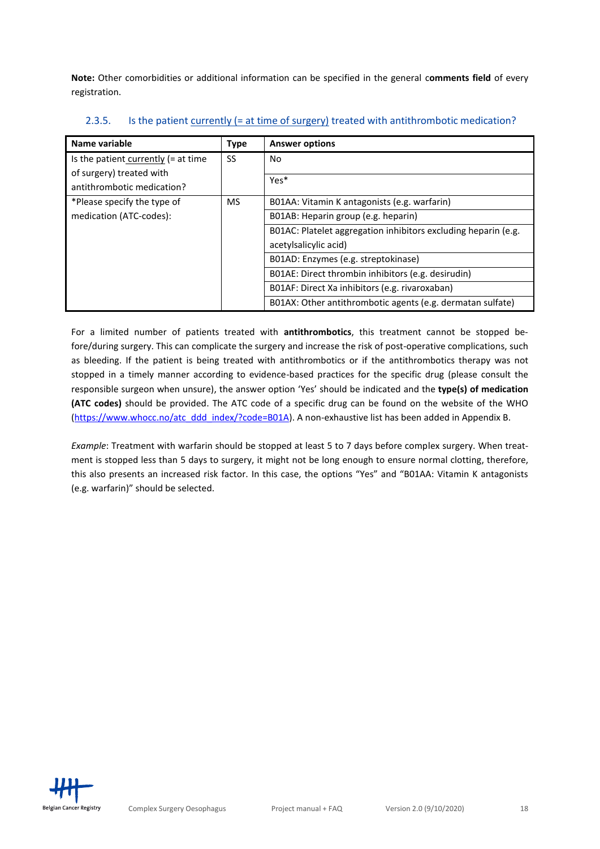**Note:** Other comorbidities or additional information can be specified in the general c**omments field** of every registration.

| Name variable                          | <b>Type</b> | <b>Answer options</b>                                          |
|----------------------------------------|-------------|----------------------------------------------------------------|
| Is the patient currently $(= a t$ time | SS          | No.                                                            |
| of surgery) treated with               |             | Yes*                                                           |
| antithrombotic medication?             |             |                                                                |
| *Please specify the type of            | <b>MS</b>   | B01AA: Vitamin K antagonists (e.g. warfarin)                   |
| medication (ATC-codes):                |             | B01AB: Heparin group (e.g. heparin)                            |
|                                        |             | B01AC: Platelet aggregation inhibitors excluding heparin (e.g. |
|                                        |             | acetylsalicylic acid)                                          |
|                                        |             | B01AD: Enzymes (e.g. streptokinase)                            |
|                                        |             | B01AE: Direct thrombin inhibitors (e.g. desirudin)             |
|                                        |             | B01AF: Direct Xa inhibitors (e.g. rivaroxaban)                 |
|                                        |             | B01AX: Other antithrombotic agents (e.g. dermatan sulfate)     |

<span id="page-17-0"></span>2.3.5. Is the patient currently (= at time of surgery) treated with antithrombotic medication?

For a limited number of patients treated with **antithrombotics**, this treatment cannot be stopped before/during surgery. This can complicate the surgery and increase the risk of post-operative complications, such as bleeding. If the patient is being treated with antithrombotics or if the antithrombotics therapy was not stopped in a timely manner according to evidence-based practices for the specific drug (please consult the responsible surgeon when unsure), the answer option 'Yes' should be indicated and the **type(s) of medication (ATC codes)** should be provided. The ATC code of a specific drug can be found on the website of the WHO [\(https://www.whocc.no/atc\\_ddd\\_index/?code=B01A\)](https://www.whocc.no/atc_ddd_index/?code=B01A). A non-exhaustive list has been added in Appendix B.

*Example*: Treatment with warfarin should be stopped at least 5 to 7 days before complex surgery. When treatment is stopped less than 5 days to surgery, it might not be long enough to ensure normal clotting, therefore, this also presents an increased risk factor. In this case, the options "Yes" and "B01AA: Vitamin K antagonists (e.g. warfarin)" should be selected.

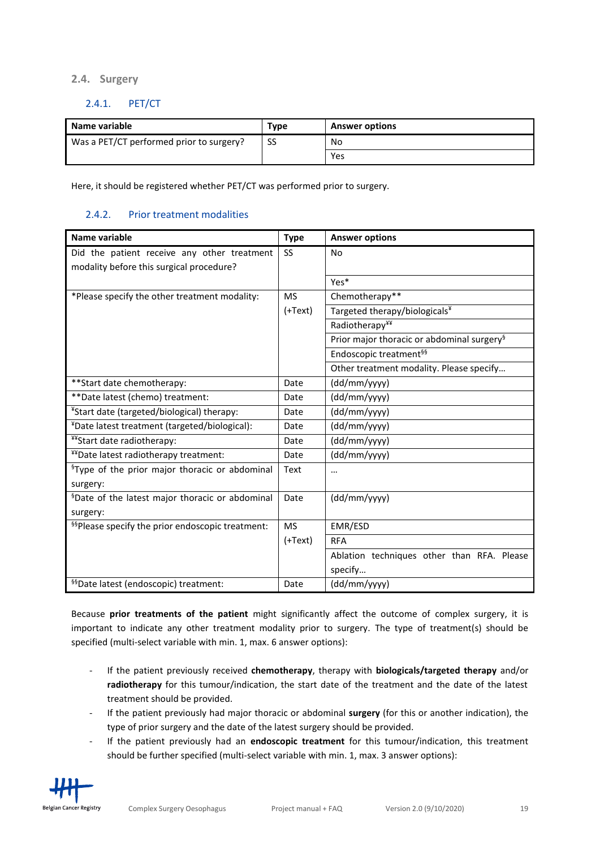#### <span id="page-18-0"></span>**2.4. Surgery**

#### <span id="page-18-1"></span>2.4.1. PET/CT

| 'Name variable                           | Type | <b>Answer options</b> |
|------------------------------------------|------|-----------------------|
| Was a PET/CT performed prior to surgery? | SS   | No                    |
|                                          |      | Yes                   |

Here, it should be registered whether PET/CT was performed prior to surgery.

#### <span id="page-18-2"></span>2.4.2. Prior treatment modalities

| Name variable                                                | <b>Type</b> | <b>Answer options</b>                                  |
|--------------------------------------------------------------|-------------|--------------------------------------------------------|
| Did the patient receive any other treatment                  | SS          | No                                                     |
| modality before this surgical procedure?                     |             |                                                        |
|                                                              |             | Yes*                                                   |
| *Please specify the other treatment modality:                | <b>MS</b>   | Chemotherapy**                                         |
|                                                              | (+Text)     | Targeted therapy/biologicals¥                          |
|                                                              |             | Radiotherapy¥¥                                         |
|                                                              |             | Prior major thoracic or abdominal surgery <sup>§</sup> |
|                                                              |             | Endoscopic treatment <sup>§§</sup>                     |
|                                                              |             | Other treatment modality. Please specify               |
| ** Start date chemotherapy:                                  | Date        | (dd/mm/yyyy)                                           |
| ** Date latest (chemo) treatment:                            | Date        | (dd/mm/yyyy)                                           |
| *Start date (targeted/biological) therapy:                   | Date        | (dd/mm/yyyy)                                           |
| *Date latest treatment (targeted/biological):                | Date        | (dd/mm/yyyy)                                           |
| ¥¥Start date radiotherapy:                                   | Date        | (dd/mm/yyyy)                                           |
| **Date latest radiotherapy treatment:                        | Date        | (dd/mm/yyyy)                                           |
| <sup>§</sup> Type of the prior major thoracic or abdominal   | Text        |                                                        |
| surgery:                                                     |             |                                                        |
| <sup>§</sup> Date of the latest major thoracic or abdominal  | Date        | (dd/mm/yyyy)                                           |
| surgery:                                                     |             |                                                        |
| <sup>§§</sup> Please specify the prior endoscopic treatment: | <b>MS</b>   | EMR/ESD                                                |
|                                                              | (+Text)     | <b>RFA</b>                                             |
|                                                              |             | Ablation techniques other than RFA. Please             |
|                                                              |             | specify                                                |
| <sup>§§</sup> Date latest (endoscopic) treatment:            | Date        | (dd/mm/yyyy)                                           |

Because **prior treatments of the patient** might significantly affect the outcome of complex surgery, it is important to indicate any other treatment modality prior to surgery. The type of treatment(s) should be specified (multi-select variable with min. 1, max. 6 answer options):

- If the patient previously received **chemotherapy**, therapy with **biologicals/targeted therapy** and/or **radiotherapy** for this tumour/indication, the start date of the treatment and the date of the latest treatment should be provided.
- If the patient previously had major thoracic or abdominal **surgery** (for this or another indication), the type of prior surgery and the date of the latest surgery should be provided.
- If the patient previously had an **endoscopic treatment** for this tumour/indication, this treatment should be further specified (multi-select variable with min. 1, max. 3 answer options):

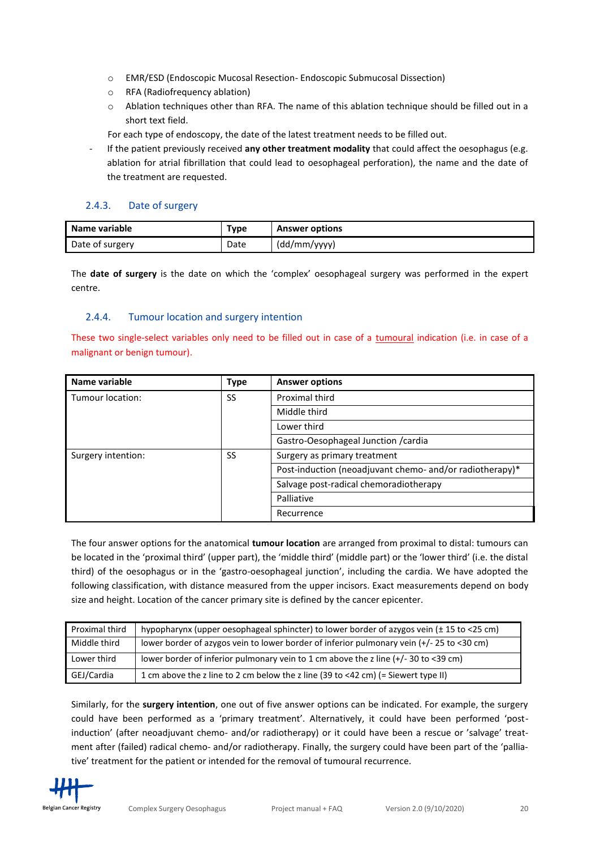- <span id="page-19-2"></span>o EMR/ESD (Endoscopic Mucosal Resection- Endoscopic Submucosal Dissection)
- o RFA (Radiofrequency ablation)
- $\circ$  Ablation techniques other than RFA. The name of this ablation technique should be filled out in a short text field.

For each type of endoscopy, the date of the latest treatment needs to be filled out.

If the patient previously received any other treatment modality that could affect the oesophagus (e.g. ablation for atrial fibrillation that could lead to oesophageal perforation), the name and the date of the treatment are requested.

#### <span id="page-19-0"></span>2.4.3. Date of surgery

| Name variable   | туре | <b>Answer options</b> |
|-----------------|------|-----------------------|
| Date of surgery | Date | (dd/mm/yyyy)          |

The **date of surgery** is the date on which the 'complex' oesophageal surgery was performed in the expert centre.

#### <span id="page-19-1"></span>2.4.4. Tumour location and surgery intention

These two single-select variables only need to be filled out in case of a tumoural indication (i.e. in case of a malignant or benign tumour).

| Name variable      | <b>Type</b> | <b>Answer options</b>                                    |
|--------------------|-------------|----------------------------------------------------------|
| Tumour location:   | SS          | Proximal third                                           |
|                    |             | Middle third                                             |
|                    |             | Lower third                                              |
|                    |             | Gastro-Oesophageal Junction / cardia                     |
| Surgery intention: | SS          | Surgery as primary treatment                             |
|                    |             | Post-induction (neoadjuvant chemo- and/or radiotherapy)* |
|                    |             | Salvage post-radical chemoradiotherapy                   |
|                    |             | Palliative                                               |
|                    |             | Recurrence                                               |

The four answer options for the anatomical **tumour location** are arranged from proximal to distal: tumours can be located in the 'proximal third' (upper part), the 'middle third' (middle part) or the 'lower third' (i.e. the distal third) of the oesophagus or in the 'gastro-oesophageal junction', including the cardia. We have adopted the following classification, with distance measured from the upper incisors. Exact measurements depend on body size and height. Location of the cancer primary site is defined by the cancer epicenter.

| Proximal third | hypopharynx (upper oesophageal sphincter) to lower border of azygos vein (± 15 to <25 cm) |
|----------------|-------------------------------------------------------------------------------------------|
| Middle third   | lower border of azygos vein to lower border of inferior pulmonary vein (+/- 25 to <30 cm) |
| Lower third    | lower border of inferior pulmonary vein to 1 cm above the z line (+/- 30 to <39 cm)       |
| GEJ/Cardia     | 1 cm above the z line to 2 cm below the z line (39 to <42 cm) (= Siewert type II)         |

Similarly, for the **surgery intention**, one out of five answer options can be indicated. For example, the surgery could have been performed as a 'primary treatment'. Alternatively, it could have been performed 'postinduction' (after neoadjuvant chemo- and/or radiotherapy) or it could have been a rescue or 'salvage' treatment after (failed) radical chemo- and/or radiotherapy. Finally, the surgery could have been part of the 'palliative' treatment for the patient or intended for the removal of tumoural recurrence.

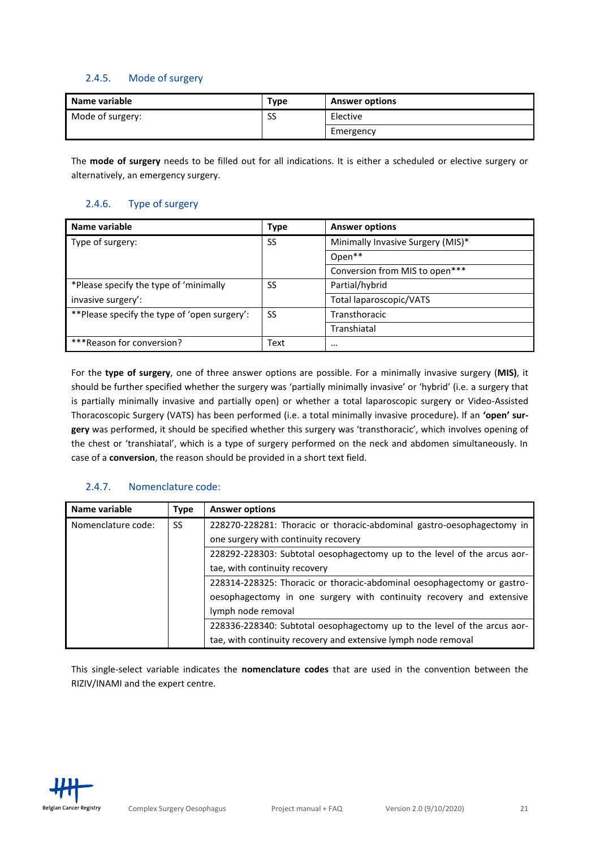#### 2.4.5. Mode of surgery

| Name variable    | Type | <b>Answer options</b> |
|------------------|------|-----------------------|
| Mode of surgery: | SS   | Elective              |
|                  |      | Emergency             |

The **mode of surgery** needs to be filled out for all indications. It is either a scheduled or elective surgery or alternatively, an emergency surgery.

#### <span id="page-20-0"></span>2.4.6. Type of surgery

| Name variable                                 | <b>Type</b> | <b>Answer options</b>             |
|-----------------------------------------------|-------------|-----------------------------------|
| Type of surgery:                              | SS          | Minimally Invasive Surgery (MIS)* |
|                                               |             | Open**                            |
|                                               |             | Conversion from MIS to open***    |
| *Please specify the type of 'minimally        | SS          | Partial/hybrid                    |
| invasive surgery':                            |             | Total laparoscopic/VATS           |
| ** Please specify the type of 'open surgery': | -SS         | Transthoracic                     |
|                                               |             | Transhiatal                       |
| ***Reason for conversion?                     | Text        | $\cdots$                          |

For the **type of surgery**, one of three answer options are possible. For a minimally invasive surgery (**MIS)**, it should be further specified whether the surgery was 'partially minimally invasive' or 'hybrid' (i.e. a surgery that is partially minimally invasive and partially open) or whether a total laparoscopic surgery or Video-Assisted Thoracoscopic Surgery (VATS) has been performed (i.e. a total minimally invasive procedure). If an **'open' surgery** was performed, it should be specified whether this surgery was 'transthoracic', which involves opening of the chest or 'transhiatal', which is a type of surgery performed on the neck and abdomen simultaneously. In case of a **conversion**, the reason should be provided in a short text field.

### <span id="page-20-1"></span>2.4.7. Nomenclature code:

| Name variable      | <b>Type</b> | <b>Answer options</b>                                                    |
|--------------------|-------------|--------------------------------------------------------------------------|
| Nomenclature code: | SS.         | 228270-228281: Thoracic or thoracic-abdominal gastro-oesophagectomy in   |
|                    |             | one surgery with continuity recovery                                     |
|                    |             | 228292-228303: Subtotal oesophagectomy up to the level of the arcus aor- |
|                    |             | tae, with continuity recovery                                            |
|                    |             | 228314-228325: Thoracic or thoracic-abdominal oesophagectomy or gastro-  |
|                    |             | oesophagectomy in one surgery with continuity recovery and extensive     |
|                    |             | lymph node removal                                                       |
|                    |             | 228336-228340: Subtotal oesophagectomy up to the level of the arcus aor- |
|                    |             | tae, with continuity recovery and extensive lymph node removal           |

This single-select variable indicates the **nomenclature codes** that are used in the convention between the RIZIV/INAMI and the expert centre.

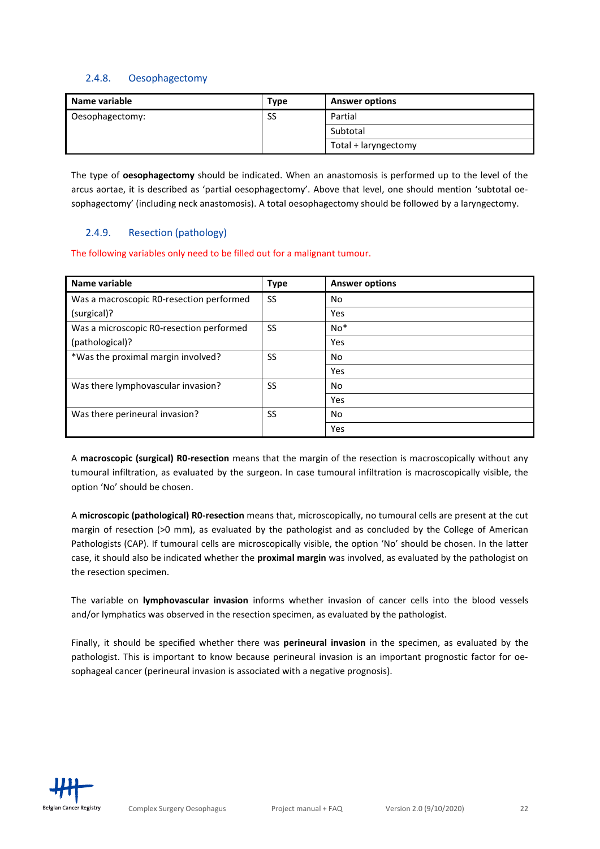#### <span id="page-21-0"></span>2.4.8. Oesophagectomy

| Name variable   | Type | <b>Answer options</b> |
|-----------------|------|-----------------------|
| Oesophagectomy: | SS   | Partial               |
|                 |      | Subtotal              |
|                 |      | Total + laryngectomy  |

The type of **oesophagectomy** should be indicated. When an anastomosis is performed up to the level of the arcus aortae, it is described as 'partial oesophagectomy'. Above that level, one should mention 'subtotal oesophagectomy' (including neck anastomosis). A total oesophagectomy should be followed by a laryngectomy.

### <span id="page-21-1"></span>2.4.9. Resection (pathology)

The following variables only need to be filled out for a malignant tumour.

| Name variable                            | <b>Type</b> | <b>Answer options</b> |
|------------------------------------------|-------------|-----------------------|
| Was a macroscopic RO-resection performed | SS          | No                    |
| (surgical)?                              |             | Yes                   |
| Was a microscopic R0-resection performed | SS          | $No*$                 |
| (pathological)?                          |             | Yes                   |
| *Was the proximal margin involved?       | SS          | No                    |
|                                          |             | Yes                   |
| Was there lymphovascular invasion?       | SS          | No                    |
|                                          |             | Yes                   |
| Was there perineural invasion?           | SS          | No                    |
|                                          |             | Yes                   |

A **macroscopic (surgical) R0-resection** means that the margin of the resection is macroscopically without any tumoural infiltration, as evaluated by the surgeon. In case tumoural infiltration is macroscopically visible, the option 'No' should be chosen.

A **microscopic (pathological) R0-resection** means that, microscopically, no tumoural cells are present at the cut margin of resection (>0 mm), as evaluated by the pathologist and as concluded by the College of American Pathologists (CAP). If tumoural cells are microscopically visible, the option 'No' should be chosen. In the latter case, it should also be indicated whether the **proximal margin** was involved, as evaluated by the pathologist on the resection specimen.

The variable on **lymphovascular invasion** informs whether invasion of [cancer](https://en.wikipedia.org/wiki/Cancer) cells into the [blood vessels](https://en.wikipedia.org/wiki/Blood_vessel) and/or lymphatics was observed in the resection specimen, as evaluated by the pathologist.

Finally, it should be specified whether there was **perineural invasion** in the specimen, as evaluated by the pathologist. This is important to know because perineural invasion is an important prognostic factor for oesophageal cancer (perineural invasion is associated with a negative prognosis).

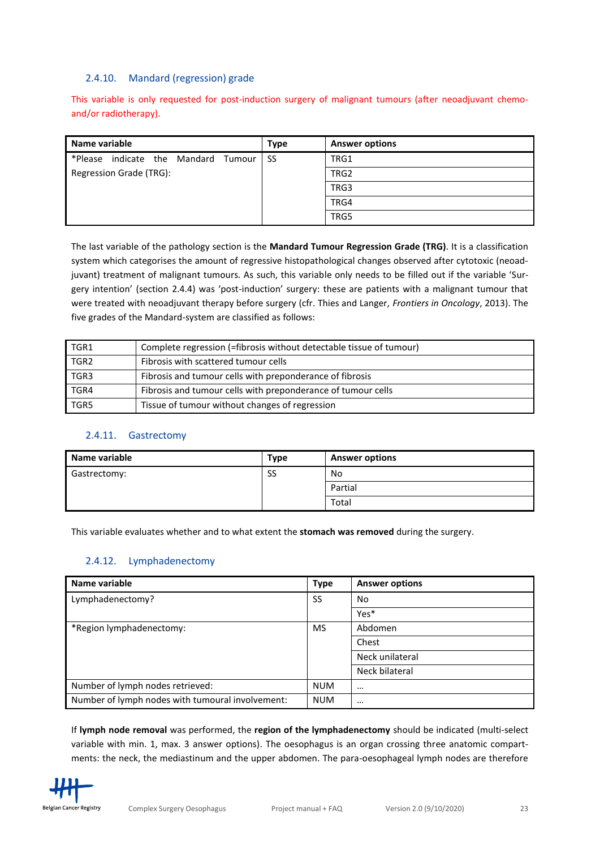#### <span id="page-22-0"></span>2.4.10. Mandard (regression) grade

This variable is only requested for post-induction surgery of malignant tumours (after neoadjuvant chemoand/or radiotherapy).

| Name variable                       | Type | <b>Answer options</b> |
|-------------------------------------|------|-----------------------|
| *Please indicate the Mandard Tumour | -SS  | TRG1                  |
| Regression Grade (TRG):             |      | TRG <sub>2</sub>      |
|                                     |      | TRG3                  |
|                                     |      | TRG4                  |
|                                     |      | TRG5                  |

The last variable of the pathology section is the **Mandard Tumour Regression Grade (TRG)**. It is a classification system which categorises the amount of regressive histopathological changes observed after cytotoxic (neoadjuvant) treatment of malignant tumours. As such, this variable only needs to be filled out if the variable 'Surgery intention' (section 2.4.4) was 'post-induction' surgery: these are patients with a malignant tumour that were treated with neoadjuvant therapy before surgery (cfr. Thies and Langer, *Frontiers in Oncology*, 2013). The five grades of the Mandard-system are classified as follows:

| TGR1             | Complete regression (=fibrosis without detectable tissue of tumour) |
|------------------|---------------------------------------------------------------------|
| TGR <sub>2</sub> | Fibrosis with scattered tumour cells                                |
| TGR3             | Fibrosis and tumour cells with preponderance of fibrosis            |
| TGR4             | Fibrosis and tumour cells with preponderance of tumour cells        |
| TGR5             | Tissue of tumour without changes of regression                      |

#### <span id="page-22-1"></span>2.4.11. Gastrectomy

| Name variable | <b>Type</b> | <b>Answer options</b> |
|---------------|-------------|-----------------------|
| Gastrectomy:  | SS          | No                    |
|               |             | Partial               |
|               |             | Total                 |

This variable evaluates whether and to what extent the **stomach was removed** during the surgery.

#### <span id="page-22-2"></span>2.4.12. Lymphadenectomy

| Name variable                                    | <b>Type</b> | <b>Answer options</b> |
|--------------------------------------------------|-------------|-----------------------|
| Lymphadenectomy?                                 | SS          | No                    |
|                                                  |             | Yes*                  |
| *Region lymphadenectomy:                         | <b>MS</b>   | Abdomen               |
|                                                  |             | Chest                 |
|                                                  |             | Neck unilateral       |
|                                                  |             | Neck bilateral        |
| Number of lymph nodes retrieved:                 | <b>NUM</b>  | $\cdots$              |
| Number of lymph nodes with tumoural involvement: | <b>NUM</b>  | $\cdots$              |

If **lymph node removal** was performed, the **region of the lymphadenectomy** should be indicated (multi-select variable with min. 1, max. 3 answer options). The oesophagus is an organ crossing three anatomic compartments: the neck, the mediastinum and the upper abdomen. The para-oesophageal lymph nodes are therefore

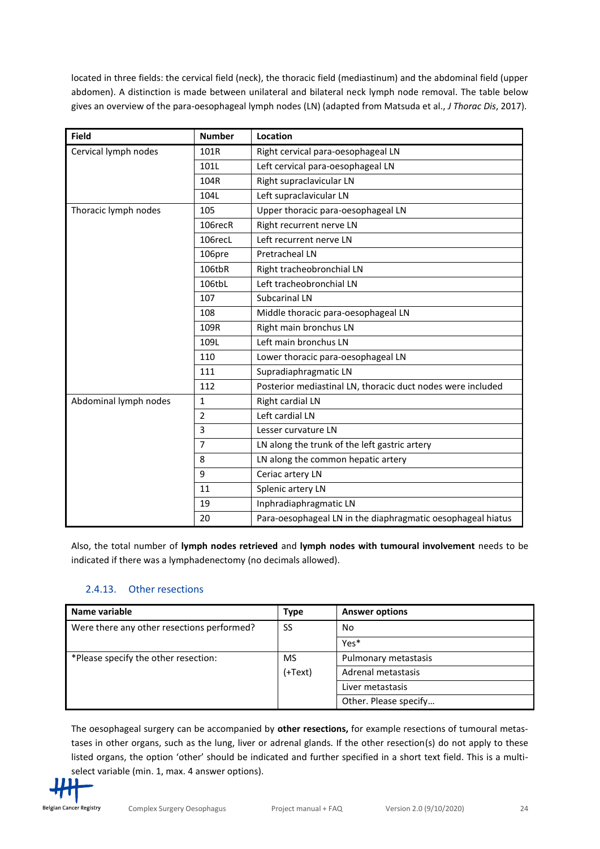located in three fields: the cervical field (neck), the thoracic field (mediastinum) and the abdominal field (upper abdomen). A distinction is made between unilateral and bilateral neck lymph node removal. The table below gives an overview of the para-oesophageal lymph nodes (LN) (adapted from Matsuda et al., *J Thorac Dis*, 2017).

| <b>Field</b>          | <b>Number</b>  | Location                                                    |
|-----------------------|----------------|-------------------------------------------------------------|
| Cervical lymph nodes  | 101R           | Right cervical para-oesophageal LN                          |
|                       | 101L           | Left cervical para-oesophageal LN                           |
|                       | 104R           | Right supraclavicular LN                                    |
|                       | 104L           | Left supraclavicular LN                                     |
| Thoracic lymph nodes  | 105            | Upper thoracic para-oesophageal LN                          |
|                       | 106recR        | Right recurrent nerve LN                                    |
|                       | 106recL        | Left recurrent nerve LN                                     |
|                       | 106pre         | Pretracheal LN                                              |
|                       | 106tbR         | Right tracheobronchial LN                                   |
|                       | 106tbL         | Left tracheobronchial LN                                    |
|                       | 107            | Subcarinal LN                                               |
|                       | 108            | Middle thoracic para-oesophageal LN                         |
|                       | 109R           | Right main bronchus LN                                      |
|                       | 109L           | Left main bronchus LN                                       |
|                       | 110            | Lower thoracic para-oesophageal LN                          |
|                       | 111            | Supradiaphragmatic LN                                       |
|                       | 112            | Posterior mediastinal LN, thoracic duct nodes were included |
| Abdominal lymph nodes | $\mathbf{1}$   | Right cardial LN                                            |
|                       | $\overline{2}$ | Left cardial LN                                             |
|                       | 3              | Lesser curvature LN                                         |
|                       | $\overline{7}$ | LN along the trunk of the left gastric artery               |
|                       | 8              | LN along the common hepatic artery                          |
|                       | 9              | Ceriac artery LN                                            |
|                       | 11             | Splenic artery LN                                           |
|                       | 19             | Inphradiaphragmatic LN                                      |
|                       | 20             | Para-oesophageal LN in the diaphragmatic oesophageal hiatus |

Also, the total number of **lymph nodes retrieved** and **lymph nodes with tumoural involvement** needs to be indicated if there was a lymphadenectomy (no decimals allowed).

### <span id="page-23-0"></span>2.4.13. Other resections

| Name variable                              | <b>Type</b> | <b>Answer options</b> |
|--------------------------------------------|-------------|-----------------------|
| Were there any other resections performed? | SS          | No                    |
|                                            |             | Yes*                  |
| *Please specify the other resection:       | MS          | Pulmonary metastasis  |
|                                            | $(+Text)$   | Adrenal metastasis    |
|                                            |             | Liver metastasis      |
|                                            |             | Other. Please specify |

The oesophageal surgery can be accompanied by **other resections,** for example resections of tumoural metastases in other organs, such as the lung, liver or adrenal glands. If the other resection(s) do not apply to these listed organs, the option 'other' should be indicated and further specified in a short text field. This is a multiselect variable (min. 1, max. 4 answer options).

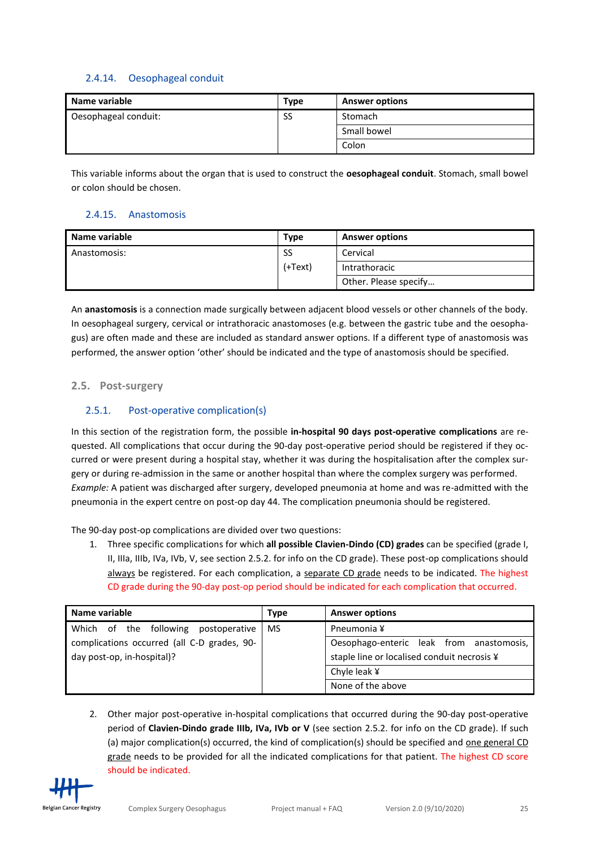## <span id="page-24-0"></span>2.4.14. Oesophageal conduit

| Name variable        | Type | <b>Answer options</b> |
|----------------------|------|-----------------------|
| Oesophageal conduit: | SS   | Stomach               |
|                      |      | Small bowel           |
|                      |      | Colon                 |

This variable informs about the organ that is used to construct the **oesophageal conduit**. Stomach, small bowel or colon should be chosen.

# <span id="page-24-1"></span>2.4.15. Anastomosis

| Name variable | <b>Type</b> | <b>Answer options</b> |
|---------------|-------------|-----------------------|
| Anastomosis:  | SS          | Cervical              |
|               | (+Text)     | Intrathoracic         |
|               |             | Other. Please specify |

An **anastomosis** is a connection made surgically between adjacent blood vessels or other channels of the body. In oesophageal surgery, cervical or intrathoracic anastomoses (e.g. between the gastric tube and the oesophagus) are often made and these are included as standard answer options. If a different type of anastomosis was performed, the answer option 'other' should be indicated and the type of anastomosis should be specified.

### <span id="page-24-2"></span>**2.5. Post-surgery**

# <span id="page-24-3"></span>2.5.1. Post-operative complication(s)

In this section of the registration form, the possible **in-hospital 90 days post-operative complications** are requested. All complications that occur during the 90-day post-operative period should be registered if they occurred or were present during a hospital stay, whether it was during the hospitalisation after the complex surgery or during re-admission in the same or another hospital than where the complex surgery was performed. *Example:* A patient was discharged after surgery, developed pneumonia at home and was re-admitted with the pneumonia in the expert centre on post-op day 44. The complication pneumonia should be registered.

The 90-day post-op complications are divided over two questions:

1. Three specific complications for which **all possible Clavien-Dindo (CD) grades** can be specified (grade I, II, IIIa, IIIb, IVa, IVb, V, see section 2.5.2. for info on the CD grade). These post-op complications should always be registered. For each complication, a separate CD grade needs to be indicated. The highest CD grade during the 90-day post-op period should be indicated for each complication that occurred.

| Name variable                               | <b>Type</b> | <b>Answer options</b>                       |
|---------------------------------------------|-------------|---------------------------------------------|
| Which of the following postoperative        | <b>MS</b>   | Pneumonia ¥                                 |
| complications occurred (all C-D grades, 90- |             | Oesophago-enteric leak from anastomosis,    |
| day post-op, in-hospital)?                  |             | staple line or localised conduit necrosis ¥ |
|                                             |             | Chyle leak $\angle$                         |
|                                             |             | None of the above                           |

2. Other major post-operative in-hospital complications that occurred during the 90-day post-operative period of **Clavien-Dindo grade IIIb, IVa, IVb or V** (see section 2.5.2. for info on the CD grade). If such (a) major complication(s) occurred, the kind of complication(s) should be specified and one general CD grade needs to be provided for all the indicated complications for that patient. The highest CD score should be indicated.

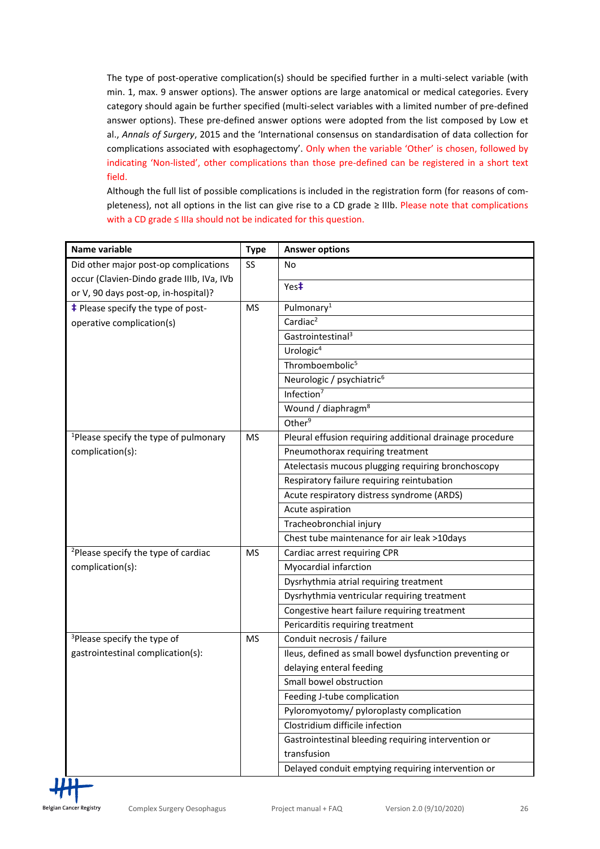The type of post-operative complication(s) should be specified further in a multi-select variable (with min. 1, max. 9 answer options). The answer options are large anatomical or medical categories. Every category should again be further specified (multi-select variables with a limited number of pre-defined answer options). These pre-defined answer options were adopted from the list composed by Low et al., *Annals of Surgery*, 2015 and the 'International consensus on standardisation of data collection for complications associated with esophagectomy'. Only when the variable 'Other' is chosen, followed by indicating 'Non-listed', other complications than those pre-defined can be registered in a short text field.

Although the full list of possible complications is included in the registration form (for reasons of completeness), not all options in the list can give rise to a CD grade ≥ IIIb. Please note that complications with a CD grade ≤ IIIa should not be indicated for this question.

| Name variable                                     | <b>Type</b> | <b>Answer options</b>                                    |
|---------------------------------------------------|-------------|----------------------------------------------------------|
| Did other major post-op complications             | <b>SS</b>   | No                                                       |
| occur (Clavien-Dindo grade IIIb, IVa, IVb         |             | Yes <sup>‡</sup>                                         |
| or V, 90 days post-op, in-hospital)?              |             |                                                          |
| <b>‡</b> Please specify the type of post-         | <b>MS</b>   | Pulmonary <sup>1</sup>                                   |
| operative complication(s)                         |             | Cardiac <sup>2</sup>                                     |
|                                                   |             | Gastrointestinal <sup>3</sup>                            |
|                                                   |             | Urologic <sup>4</sup>                                    |
|                                                   |             | Thromboembolic <sup>5</sup>                              |
|                                                   |             | Neurologic / psychiatric <sup>6</sup>                    |
|                                                   |             | Infection <sup>7</sup>                                   |
|                                                   |             | Wound / diaphragm <sup>8</sup>                           |
|                                                   |             | Other <sup>9</sup>                                       |
| <sup>1</sup> Please specify the type of pulmonary | <b>MS</b>   | Pleural effusion requiring additional drainage procedure |
| complication(s):                                  |             | Pneumothorax requiring treatment                         |
|                                                   |             | Atelectasis mucous plugging requiring bronchoscopy       |
|                                                   |             | Respiratory failure requiring reintubation               |
|                                                   |             | Acute respiratory distress syndrome (ARDS)               |
|                                                   |             | Acute aspiration                                         |
|                                                   |             | Tracheobronchial injury                                  |
|                                                   |             | Chest tube maintenance for air leak >10days              |
| <sup>2</sup> Please specify the type of cardiac   | <b>MS</b>   | Cardiac arrest requiring CPR                             |
| complication(s):                                  |             | Myocardial infarction                                    |
|                                                   |             | Dysrhythmia atrial requiring treatment                   |
|                                                   |             | Dysrhythmia ventricular requiring treatment              |
|                                                   |             | Congestive heart failure requiring treatment             |
|                                                   |             | Pericarditis requiring treatment                         |
| <sup>3</sup> Please specify the type of           | <b>MS</b>   | Conduit necrosis / failure                               |
| gastrointestinal complication(s):                 |             | Ileus, defined as small bowel dysfunction preventing or  |
|                                                   |             | delaying enteral feeding                                 |
|                                                   |             | Small bowel obstruction                                  |
|                                                   |             | Feeding J-tube complication                              |
|                                                   |             | Pyloromyotomy/ pyloroplasty complication                 |
|                                                   |             | Clostridium difficile infection                          |
|                                                   |             | Gastrointestinal bleeding requiring intervention or      |
|                                                   |             | transfusion                                              |
|                                                   |             | Delayed conduit emptying requiring intervention or       |

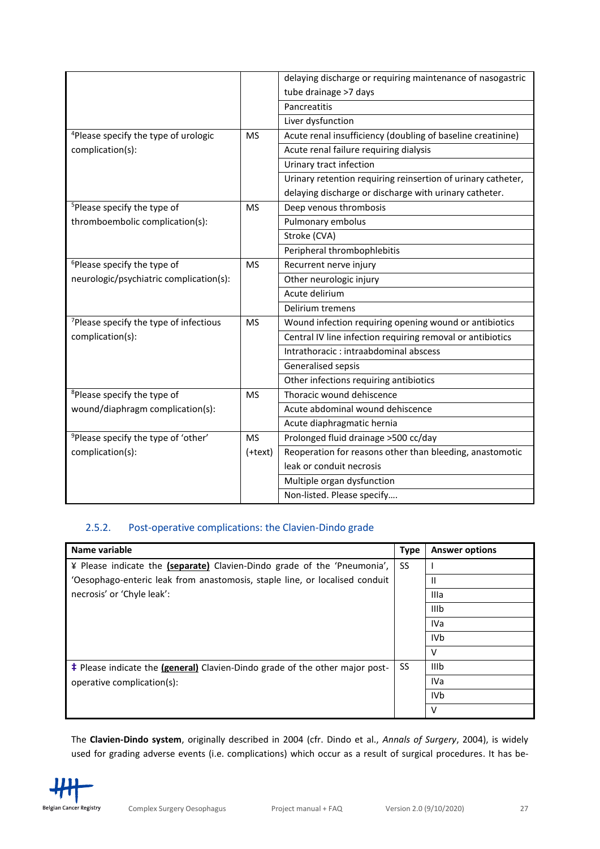|                                                    |           | delaying discharge or requiring maintenance of nasogastric   |
|----------------------------------------------------|-----------|--------------------------------------------------------------|
|                                                    |           | tube drainage >7 days                                        |
|                                                    |           | Pancreatitis                                                 |
|                                                    |           | Liver dysfunction                                            |
| <sup>4</sup> Please specify the type of urologic   | <b>MS</b> | Acute renal insufficiency (doubling of baseline creatinine)  |
| complication(s):                                   |           | Acute renal failure requiring dialysis                       |
|                                                    |           | Urinary tract infection                                      |
|                                                    |           | Urinary retention requiring reinsertion of urinary catheter, |
|                                                    |           | delaying discharge or discharge with urinary catheter.       |
| <sup>5</sup> Please specify the type of            | <b>MS</b> | Deep venous thrombosis                                       |
| thromboembolic complication(s):                    |           | Pulmonary embolus                                            |
|                                                    |           | Stroke (CVA)                                                 |
|                                                    |           | Peripheral thrombophlebitis                                  |
| <sup>6</sup> Please specify the type of            | <b>MS</b> | Recurrent nerve injury                                       |
| neurologic/psychiatric complication(s):            |           | Other neurologic injury                                      |
|                                                    |           | Acute delirium                                               |
|                                                    |           | Delirium tremens                                             |
| <sup>7</sup> Please specify the type of infectious | <b>MS</b> | Wound infection requiring opening wound or antibiotics       |
| complication(s):                                   |           | Central IV line infection requiring removal or antibiotics   |
|                                                    |           | Intrathoracic : intraabdominal abscess                       |
|                                                    |           | Generalised sepsis                                           |
|                                                    |           | Other infections requiring antibiotics                       |
| <sup>8</sup> Please specify the type of            | <b>MS</b> | Thoracic wound dehiscence                                    |
| wound/diaphragm complication(s):                   |           | Acute abdominal wound dehiscence                             |
|                                                    |           | Acute diaphragmatic hernia                                   |
| <sup>9</sup> Please specify the type of 'other'    | <b>MS</b> | Prolonged fluid drainage > 500 cc/day                        |
| complication(s):                                   | (+text)   | Reoperation for reasons other than bleeding, anastomotic     |
|                                                    |           | leak or conduit necrosis                                     |
|                                                    |           | Multiple organ dysfunction                                   |
|                                                    |           | Non-listed. Please specify                                   |

## <span id="page-26-0"></span>2.5.2. Post-operative complications: the Clavien-Dindo grade

| Name variable                                                                                | <b>Type</b> | <b>Answer options</b> |
|----------------------------------------------------------------------------------------------|-------------|-----------------------|
| ¥ Please indicate the (separate) Clavien-Dindo grade of the 'Pneumonia',                     | SS          |                       |
| 'Oesophago-enteric leak from anastomosis, staple line, or localised conduit                  |             | Ш                     |
| necrosis' or 'Chyle leak':                                                                   |             | Illa                  |
|                                                                                              |             | <b>IIIb</b>           |
|                                                                                              |             | IVa                   |
|                                                                                              |             | IV <sub>b</sub>       |
|                                                                                              |             | $\vee$                |
| <b>‡</b> Please indicate the ( <b>general</b> ) Clavien-Dindo grade of the other major post- | SS          | <b>IIIb</b>           |
| operative complication(s):                                                                   |             | IVa                   |
|                                                                                              |             | <b>IVb</b>            |
|                                                                                              |             | V                     |

The **Clavien-Dindo system**, originally described in 2004 (cfr. Dindo et al., *Annals of Surgery*, 2004), is widely used for grading adverse events (i.e. complications) which occur as a result of surgical procedures. It has be-

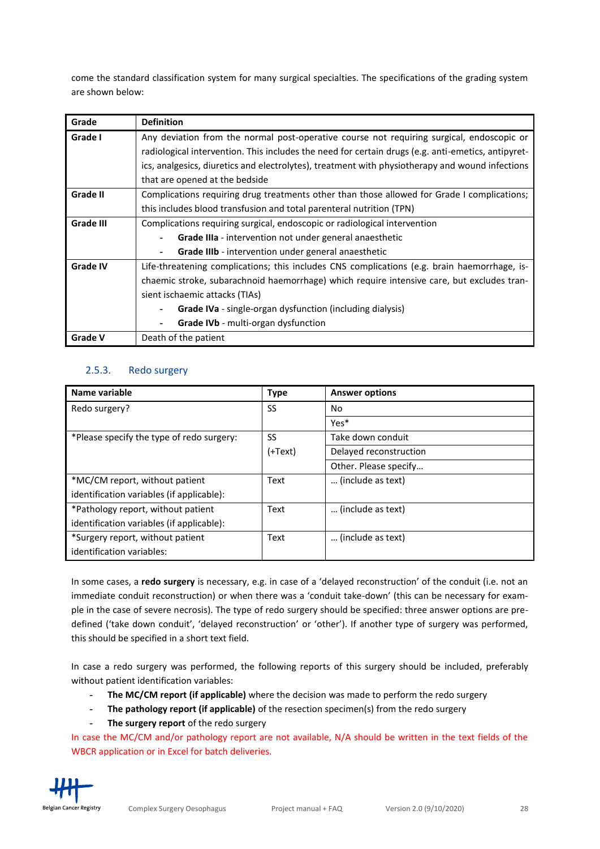come the standard classification system for many surgical specialties. The specifications of the grading system are shown below:

| Grade           | <b>Definition</b>                                                                                  |
|-----------------|----------------------------------------------------------------------------------------------------|
| Grade I         | Any deviation from the normal post-operative course not requiring surgical, endoscopic or          |
|                 | radiological intervention. This includes the need for certain drugs (e.g. anti-emetics, antipyret- |
|                 | ics, analgesics, diuretics and electrolytes), treatment with physiotherapy and wound infections    |
|                 | that are opened at the bedside                                                                     |
| Grade II        | Complications requiring drug treatments other than those allowed for Grade I complications;        |
|                 | this includes blood transfusion and total parenteral nutrition (TPN)                               |
| Grade III       | Complications requiring surgical, endoscopic or radiological intervention                          |
|                 | Grade IIIa - intervention not under general anaesthetic                                            |
|                 | Grade IIIb - intervention under general anaesthetic<br>۰                                           |
| <b>Grade IV</b> | Life-threatening complications; this includes CNS complications (e.g. brain haemorrhage, is-       |
|                 | chaemic stroke, subarachnoid haemorrhage) which require intensive care, but excludes tran-         |
|                 | sient ischaemic attacks (TIAs)                                                                     |
|                 | Grade IVa - single-organ dysfunction (including dialysis)                                          |
|                 | Grade IVb - multi-organ dysfunction<br>۰                                                           |
| <b>Grade V</b>  | Death of the patient                                                                               |

# <span id="page-27-0"></span>2.5.3. Redo surgery

| Name variable                             | <b>Type</b> | <b>Answer options</b>  |
|-------------------------------------------|-------------|------------------------|
| Redo surgery?                             | SS          | No.                    |
|                                           |             | Yes*                   |
| *Please specify the type of redo surgery: | SS          | Take down conduit      |
|                                           | $(+Text)$   | Delayed reconstruction |
|                                           |             | Other. Please specify  |
| *MC/CM report, without patient            | Text        | (include as text)      |
| identification variables (if applicable): |             |                        |
| *Pathology report, without patient        | Text        | (include as text)      |
| identification variables (if applicable): |             |                        |
| *Surgery report, without patient          | Text        | (include as text)      |
| identification variables:                 |             |                        |

In some cases, a **redo surgery** is necessary, e.g. in case of a 'delayed reconstruction' of the conduit (i.e. not an immediate conduit reconstruction) or when there was a 'conduit take-down' (this can be necessary for example in the case of severe necrosis). The type of redo surgery should be specified: three answer options are predefined ('take down conduit', 'delayed reconstruction' or 'other'). If another type of surgery was performed, this should be specified in a short text field.

In case a redo surgery was performed, the following reports of this surgery should be included, preferably without patient identification variables:

- **- The MC/CM report (if applicable)** where the decision was made to perform the redo surgery
- **- The pathology report (if applicable)** of the resection specimen(s) from the redo surgery
- **- The surgery report** of the redo surgery

In case the MC/CM and/or pathology report are not available, N/A should be written in the text fields of the WBCR application or in Excel for batch deliveries.

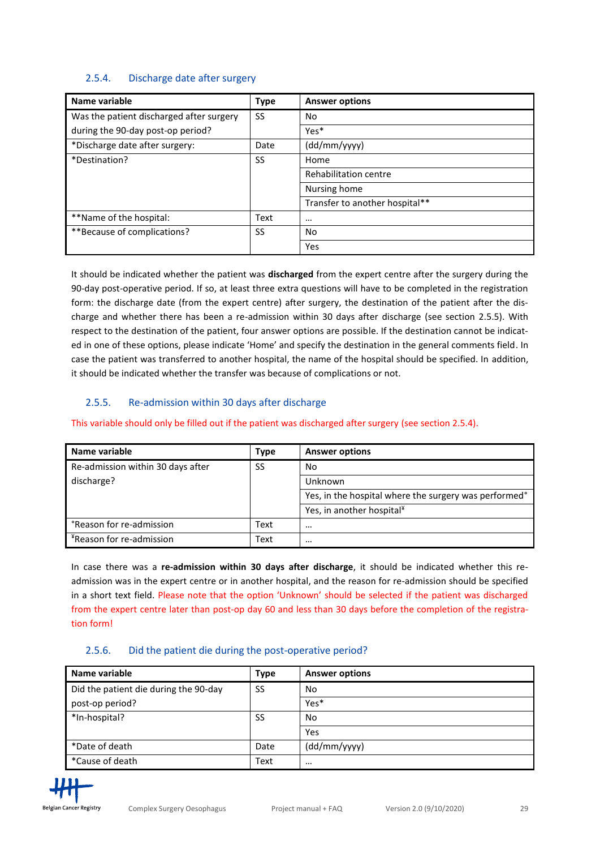#### <span id="page-28-0"></span>2.5.4. Discharge date after surgery

| Name variable                            | <b>Type</b> | <b>Answer options</b>          |
|------------------------------------------|-------------|--------------------------------|
| Was the patient discharged after surgery | <b>SS</b>   | No                             |
| during the 90-day post-op period?        |             | Yes*                           |
| *Discharge date after surgery:           | Date        | (dd/mm/yyyy)                   |
| SS<br>*Destination?                      |             | Home                           |
|                                          |             | <b>Rehabilitation centre</b>   |
|                                          |             | Nursing home                   |
|                                          |             | Transfer to another hospital** |
| **Name of the hospital:                  | Text        | $\cdots$                       |
| **Because of complications?              | SS          | No                             |
|                                          |             | Yes                            |

It should be indicated whether the patient was **discharged** from the expert centre after the surgery during the 90-day post-operative period. If so, at least three extra questions will have to be completed in the registration form: the discharge date (from the expert centre) after surgery, the destination of the patient after the discharge and whether there has been a re-admission within 30 days after discharge (see section 2.5.5). With respect to the destination of the patient, four answer options are possible. If the destination cannot be indicated in one of these options, please indicate 'Home' and specify the destination in the general comments field. In case the patient was transferred to another hospital, the name of the hospital should be specified. In addition, it should be indicated whether the transfer was because of complications or not.

### <span id="page-28-1"></span>2.5.5. Re-admission within 30 days after discharge

#### This variable should only be filled out if the patient was discharged after surgery (see section 2.5.4).

| Name variable                        | Type | <b>Answer options</b>                                 |
|--------------------------------------|------|-------------------------------------------------------|
| Re-admission within 30 days after    | SS   | No                                                    |
| discharge?                           |      | Unknown                                               |
|                                      |      | Yes, in the hospital where the surgery was performed° |
|                                      |      | Yes, in another hospital <sup>¥</sup>                 |
| <b>Preason for re-admission</b>      | Text | $\cdots$                                              |
| <sup>*</sup> Reason for re-admission | Text | $\cdots$                                              |

In case there was a **re-admission within 30 days after discharge**, it should be indicated whether this readmission was in the expert centre or in another hospital, and the reason for re-admission should be specified in a short text field. Please note that the option 'Unknown' should be selected if the patient was discharged from the expert centre later than post-op day 60 and less than 30 days before the completion of the registration form!

#### <span id="page-28-2"></span>2.5.6. Did the patient die during the post-operative period?

| Name variable                         | Type      | <b>Answer options</b> |
|---------------------------------------|-----------|-----------------------|
| Did the patient die during the 90-day | <b>SS</b> | No                    |
| post-op period?                       |           | Yes*                  |
| *In-hospital?                         | SS        | No                    |
|                                       |           | Yes                   |
| *Date of death                        | Date      | (dd/mm/yyyy)          |
| *Cause of death                       | Text      | $\cdots$              |

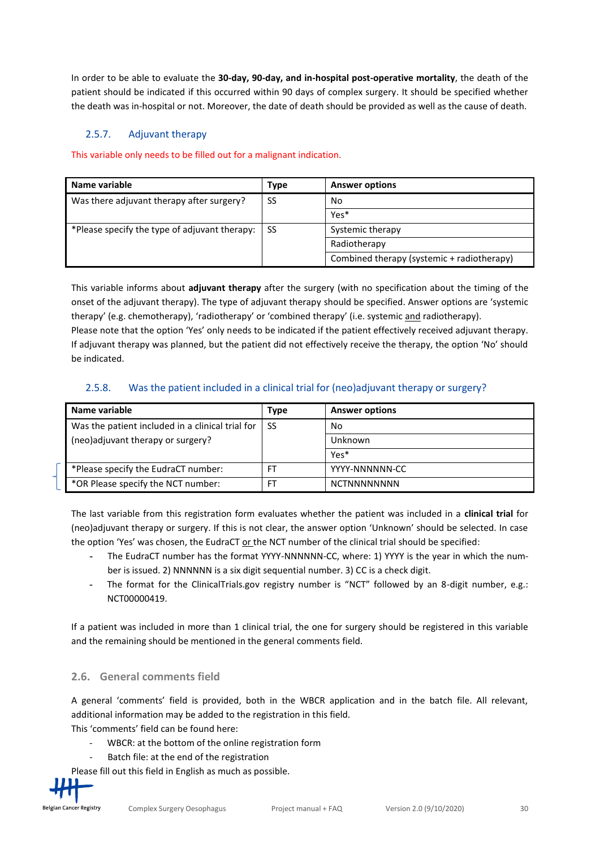In order to be able to evaluate the **30-day, 90-day, and in-hospital post-operative mortality**, the death of the patient should be indicated if this occurred within 90 days of complex surgery. It should be specified whether the death was in-hospital or not. Moreover, the date of death should be provided as well as the cause of death.

# <span id="page-29-0"></span>2.5.7. Adjuvant therapy

This variable only needs to be filled out for a malignant indication.

| Name variable                                 | Type | <b>Answer options</b>                      |
|-----------------------------------------------|------|--------------------------------------------|
| Was there adjuvant therapy after surgery?     | SS   | No                                         |
|                                               |      | Yes*                                       |
| *Please specify the type of adjuvant therapy: | - SS | Systemic therapy                           |
|                                               |      | Radiotherapy                               |
|                                               |      | Combined therapy (systemic + radiotherapy) |

This variable informs about **adjuvant therapy** after the surgery (with no specification about the timing of the onset of the adjuvant therapy). The type of adjuvant therapy should be specified. Answer options are 'systemic therapy' (e.g. chemotherapy), 'radiotherapy' or 'combined therapy' (i.e. systemic and radiotherapy). Please note that the option 'Yes' only needs to be indicated if the patient effectively received adjuvant therapy. If adjuvant therapy was planned, but the patient did not effectively receive the therapy, the option 'No' should be indicated.

#### <span id="page-29-1"></span>2.5.8. Was the patient included in a clinical trial for (neo)adjuvant therapy or surgery?

| Name variable                                    | Type | <b>Answer options</b> |
|--------------------------------------------------|------|-----------------------|
| Was the patient included in a clinical trial for | -SS  | No                    |
| (neo)adjuvant therapy or surgery?                |      | Unknown               |
|                                                  |      | Yes*                  |
| *Please specify the EudraCT number:              | FT.  | YYYY-NNNNNN-CC        |
| *OR Please specify the NCT number:               |      | <b>NCTNNNNNNNNN</b>   |

The last variable from this registration form evaluates whether the patient was included in a **clinical trial** for (neo)adjuvant therapy or surgery. If this is not clear, the answer option 'Unknown' should be selected. In case the option 'Yes' was chosen, the EudraCT or the NCT number of the clinical trial should be specified:

- **-** The EudraCT number has the format YYYY-NNNNNN-CC, where: 1) YYYY is the year in which the number is issued. 2) NNNNNN is a six digit sequential number. 3) CC is a check digit.
- **-** The format for the ClinicalTrials.gov registry number is "NCT" followed by an 8-digit number, e.g.: NCT00000419.

If a patient was included in more than 1 clinical trial, the one for surgery should be registered in this variable and the remaining should be mentioned in the general comments field.

### <span id="page-29-2"></span>**2.6. General comments field**

A general 'comments' field is provided, both in the WBCR application and in the batch file. All relevant, additional information may be added to the registration in this field.

This 'comments' field can be found here:

- WBCR: at the bottom of the online registration form
- Batch file: at the end of the registration

Please fill out this field in English as much as possible.

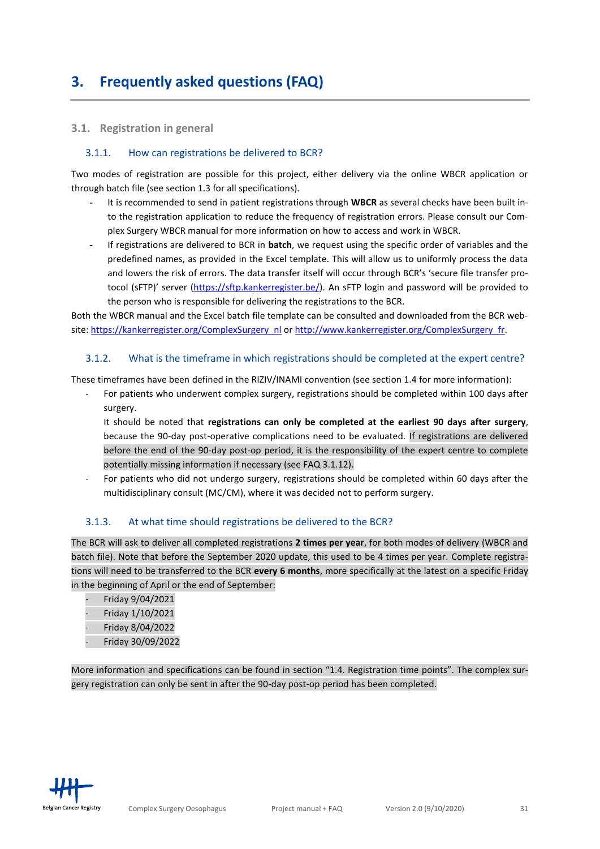# <span id="page-30-0"></span>**3. Frequently asked questions (FAQ)**

#### <span id="page-30-1"></span>**3.1. Registration in general**

#### <span id="page-30-2"></span>3.1.1. How can registrations be delivered to BCR?

Two modes of registration are possible for this project, either delivery via the online WBCR application or through batch file (see section 1.3 for all specifications).

- **-** It is recommended to send in patient registrations through **WBCR** as several checks have been built into the registration application to reduce the frequency of registration errors. Please consult our Complex Surgery WBCR manual for more information on how to access and work in WBCR.
- **-** If registrations are delivered to BCR in **batch**, we request using the specific order of variables and the predefined names, as provided in the Excel template. This will allow us to uniformly process the data and lowers the risk of errors. The data transfer itself will occur through BCR's 'secure file transfer protocol (sFTP)' server ([https://sftp.kankerregister.be/\)](https://sftp.kankerregister.be/). An sFTP login and password will be provided to the person who is responsible for delivering the registrations to the BCR.

Both the WBCR manual and the Excel batch file template can be consulted and downloaded from the BCR website: [https://kankerregister.org/ComplexSurgery\\_nl](https://kankerregister.org/ComplexSurgery_nl) or [http://www.kankerregister.org/ComplexSurgery\\_fr.](http://www.kankerregister.org/ComplexSurgery_fr)

#### <span id="page-30-3"></span>3.1.2. What is the timeframe in which registrations should be completed at the expert centre?

These timeframes have been defined in the RIZIV/INAMI convention (see section 1.4 for more information):

- For patients who underwent complex surgery, registrations should be completed within 100 days after surgery.
	- It should be noted that **registrations can only be completed at the earliest 90 days after surgery**, because the 90-day post-operative complications need to be evaluated. If registrations are delivered before the end of the 90-day post-op period, it is the responsibility of the expert centre to complete potentially missing information if necessary (see FAQ 3.1.12).
- For patients who did not undergo surgery, registrations should be completed within 60 days after the multidisciplinary consult (MC/CM), where it was decided not to perform surgery.

#### <span id="page-30-4"></span>3.1.3. At what time should registrations be delivered to the BCR?

The BCR will ask to deliver all completed registrations **2 times per year**, for both modes of delivery (WBCR and batch file). Note that before the September 2020 update, this used to be 4 times per year. Complete registrations will need to be transferred to the BCR **every 6 months**, more specifically at the latest on a specific Friday in the beginning of April or the end of September:

- Friday 9/04/2021
- Friday 1/10/2021
- Friday 8/04/2022
- Friday 30/09/2022

More information and specifications can be found in section "1.4. Registration time points". The complex surgery registration can only be sent in after the 90-day post-op period has been completed.

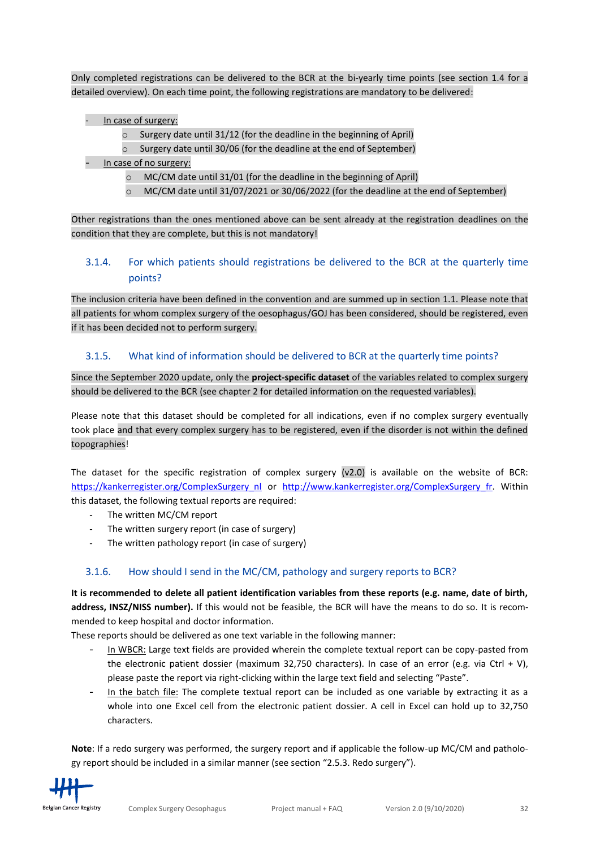<span id="page-31-3"></span>Only completed registrations can be delivered to the BCR at the bi-yearly time points (see section 1.4 for a detailed overview). On each time point, the following registrations are mandatory to be delivered:

- In case of surgery:
	- o Surgery date until 31/12 (for the deadline in the beginning of April)
	- o Surgery date until 30/06 (for the deadline at the end of September)
- In case of no surgery:
	- $\circ$  MC/CM date until 31/01 (for the deadline in the beginning of April)
	- $\circ$  MC/CM date until 31/07/2021 or 30/06/2022 (for the deadline at the end of September)

Other registrations than the ones mentioned above can be sent already at the registration deadlines on the condition that they are complete, but this is not mandatory!

# <span id="page-31-0"></span>3.1.4. For which patients should registrations be delivered to the BCR at the quarterly time points?

The inclusion criteria have been defined in the convention and are summed up in section 1.1. Please note that all patients for whom complex surgery of the oesophagus/GOJ has been considered, should be registered, even if it has been decided not to perform surgery.

### <span id="page-31-1"></span>3.1.5. What kind of information should be delivered to BCR at the quarterly time points?

Since the September 2020 update, only the **project-specific dataset** of the variables related to complex surgery should be delivered to the BCR (see chapter 2 for detailed information on the requested variables).

Please note that this dataset should be completed for all indications, even if no complex surgery eventually took place and that every complex surgery has to be registered, even if the disorder is not within the defined topographies!

The dataset for the specific registration of complex surgery (v2.0) is available on the website of BCR: [https://kankerregister.org/ComplexSurgery\\_nl](https://kankerregister.org/ComplexSurgery_nl) or [http://www.kankerregister.org/ComplexSurgery\\_fr.](http://www.kankerregister.org/ComplexSurgery_fr) Within this dataset, the following textual reports are required:

- The written MC/CM report
- The written surgery report (in case of surgery)
- The written pathology report (in case of surgery)

### <span id="page-31-2"></span>3.1.6. How should I send in the MC/CM, pathology and surgery reports to BCR?

**It is recommended to delete all patient identification variables from these reports (e.g. name, date of birth, address, INSZ/NISS number).** If this would not be feasible, the BCR will have the means to do so. It is recommended to keep hospital and doctor information.

These reports should be delivered as one text variable in the following manner:

- In WBCR: Large text fields are provided wherein the complete textual report can be copy-pasted from the electronic patient dossier (maximum 32,750 characters). In case of an error (e.g. via Ctrl + V), please paste the report via right-clicking within the large text field and selecting "Paste".
- In the batch file: The complete textual report can be included as one variable by extracting it as a whole into one Excel cell from the electronic patient dossier. A cell in Excel can hold up to 32,750 characters.

**Note**: If a redo surgery was performed, the surgery report and if applicable the follow-up MC/CM and pathology report should be included in a similar manner (see section "2.5.3. Redo surgery").

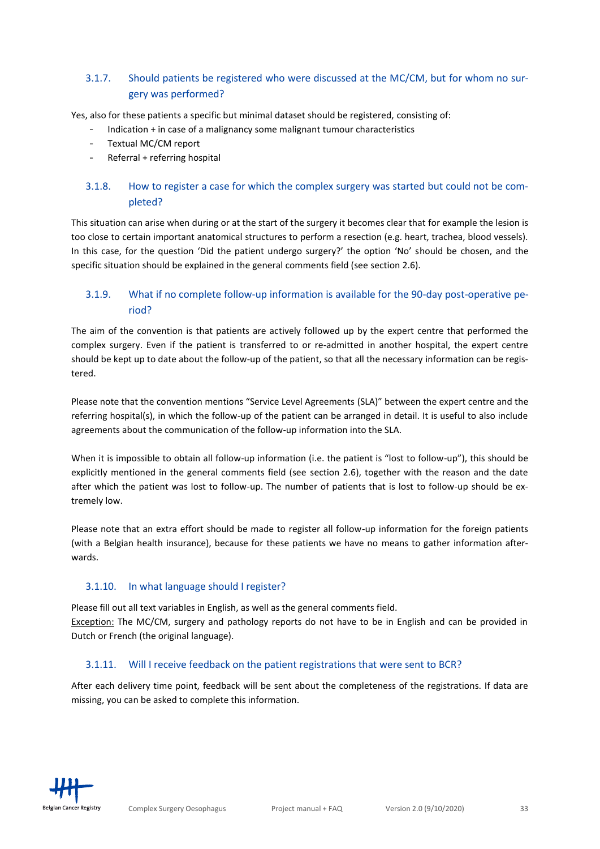# <span id="page-32-4"></span>3.1.7. Should patients be registered who were discussed at the MC/CM, but for whom no surgery was performed?

Yes, also for these patients a specific but minimal dataset should be registered, consisting of:

- Indication + in case of a malignancy some malignant tumour characteristics
- Textual MC/CM report
- Referral + referring hospital

## <span id="page-32-0"></span>3.1.8. How to register a case for which the complex surgery was started but could not be completed?

This situation can arise when during or at the start of the surgery it becomes clear that for example the lesion is too close to certain important anatomical structures to perform a resection (e.g. heart, trachea, blood vessels). In this case, for the question 'Did the patient undergo surgery?' the option 'No' should be chosen, and the specific situation should be explained in the general comments field (see section 2.6).

# <span id="page-32-1"></span>3.1.9. What if no complete follow-up information is available for the 90-day post-operative period?

The aim of the convention is that patients are actively followed up by the expert centre that performed the complex surgery. Even if the patient is transferred to or re-admitted in another hospital, the expert centre should be kept up to date about the follow-up of the patient, so that all the necessary information can be registered.

Please note that the convention mentions "Service Level Agreements (SLA)" between the expert centre and the referring hospital(s), in which the follow-up of the patient can be arranged in detail. It is useful to also include agreements about the communication of the follow-up information into the SLA.

When it is impossible to obtain all follow-up information (i.e. the patient is "lost to follow-up"), this should be explicitly mentioned in the general comments field (see section 2.6), together with the reason and the date after which the patient was lost to follow-up. The number of patients that is lost to follow-up should be extremely low.

Please note that an extra effort should be made to register all follow-up information for the foreign patients (with a Belgian health insurance), because for these patients we have no means to gather information afterwards.

#### <span id="page-32-2"></span>3.1.10. In what language should I register?

Please fill out all text variables in English, as well as the general comments field. Exception: The MC/CM, surgery and pathology reports do not have to be in English and can be provided in Dutch or French (the original language).

#### <span id="page-32-3"></span>3.1.11. Will I receive feedback on the patient registrations that were sent to BCR?

After each delivery time point, feedback will be sent about the completeness of the registrations. If data are missing, you can be asked to complete this information.

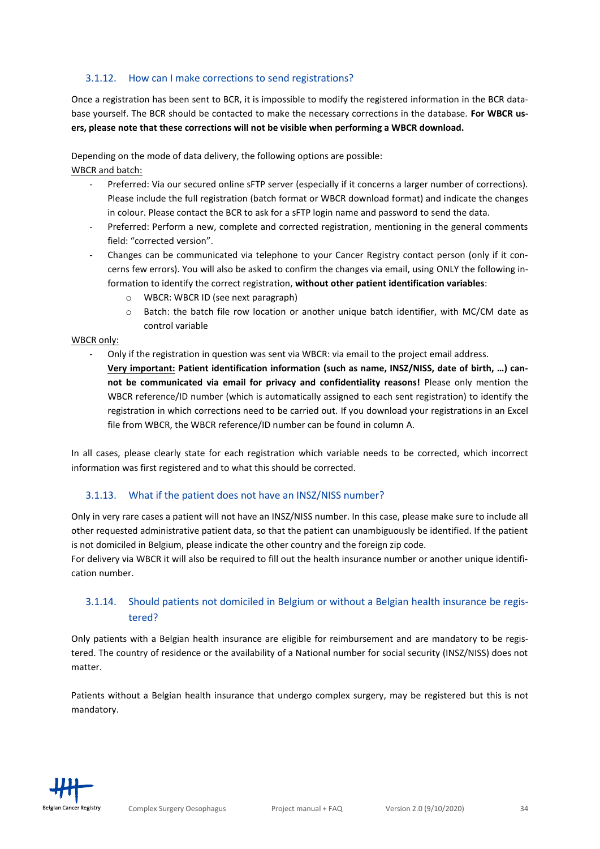#### <span id="page-33-2"></span>3.1.12. How can I make corrections to send registrations?

Once a registration has been sent to BCR, it is impossible to modify the registered information in the BCR database yourself. The BCR should be contacted to make the necessary corrections in the database. **For WBCR users, please note that these corrections will not be visible when performing a WBCR download.**

Depending on the mode of data delivery, the following options are possible: WBCR and batch:

- Preferred: Via our secured online sFTP server (especially if it concerns a larger number of corrections). Please include the full registration (batch format or WBCR download format) and indicate the changes in colour. Please contact the BCR to ask for a sFTP login name and password to send the data.
- Preferred: Perform a new, complete and corrected registration, mentioning in the general comments field: "corrected version".
- Changes can be communicated via telephone to your Cancer Registry contact person (only if it concerns few errors). You will also be asked to confirm the changes via email, using ONLY the following information to identify the correct registration, **without other patient identification variables**:
	- o WBCR: WBCR ID (see next paragraph)
	- o Batch: the batch file row location or another unique batch identifier, with MC/CM date as control variable

#### WBCR only:

- Only if the registration in question was sent via WBCR: via email to the project email address.
	- **Very important: Patient identification information (such as name, INSZ/NISS, date of birth, …) cannot be communicated via email for privacy and confidentiality reasons!** Please only mention the WBCR reference/ID number (which is automatically assigned to each sent registration) to identify the registration in which corrections need to be carried out. If you download your registrations in an Excel file from WBCR, the WBCR reference/ID number can be found in column A.

In all cases, please clearly state for each registration which variable needs to be corrected, which incorrect information was first registered and to what this should be corrected.

#### <span id="page-33-0"></span>3.1.13. What if the patient does not have an INSZ/NISS number?

Only in very rare cases a patient will not have an INSZ/NISS number. In this case, please make sure to include all other requested administrative patient data, so that the patient can unambiguously be identified. If the patient is not domiciled in Belgium, please indicate the other country and the foreign zip code.

For delivery via WBCR it will also be required to fill out the health insurance number or another unique identification number.

# <span id="page-33-1"></span>3.1.14. Should patients not domiciled in Belgium or without a Belgian health insurance be registered?

Only patients with a Belgian health insurance are eligible for reimbursement and are mandatory to be registered. The country of residence or the availability of a National number for social security (INSZ/NISS) does not matter.

Patients without a Belgian health insurance that undergo complex surgery, may be registered but this is not mandatory.

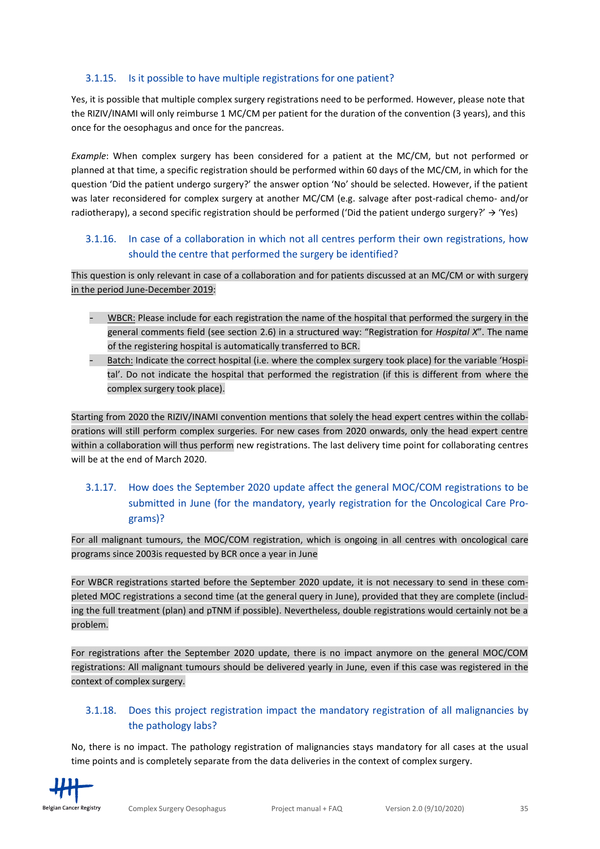#### <span id="page-34-3"></span>3.1.15. Is it possible to have multiple registrations for one patient?

Yes, it is possible that multiple complex surgery registrations need to be performed. However, please note that the RIZIV/INAMI will only reimburse 1 MC/CM per patient for the duration of the convention (3 years), and this once for the oesophagus and once for the pancreas.

*Example*: When complex surgery has been considered for a patient at the MC/CM, but not performed or planned at that time, a specific registration should be performed within 60 days of the MC/CM, in which for the question 'Did the patient undergo surgery?' the answer option 'No' should be selected. However, if the patient was later reconsidered for complex surgery at another MC/CM (e.g. salvage after post-radical chemo- and/or radiotherapy), a second specific registration should be performed ('Did the patient undergo surgery?' → 'Yes)

## <span id="page-34-0"></span>3.1.16. In case of a collaboration in which not all centres perform their own registrations, how should the centre that performed the surgery be identified?

This question is only relevant in case of a collaboration and for patients discussed at an MC/CM or with surgery in the period June-December 2019:

- WBCR: Please include for each registration the name of the hospital that performed the surgery in the general comments field (see section 2.6) in a structured way: "Registration for *Hospital X*". The name of the registering hospital is automatically transferred to BCR.
- Batch: Indicate the correct hospital (i.e. where the complex surgery took place) for the variable 'Hospital'. Do not indicate the hospital that performed the registration (if this is different from where the complex surgery took place).

Starting from 2020 the RIZIV/INAMI convention mentions that solely the head expert centres within the collaborations will still perform complex surgeries. For new cases from 2020 onwards, only the head expert centre within a collaboration will thus perform new registrations. The last delivery time point for collaborating centres will be at the end of March 2020.

# <span id="page-34-1"></span>3.1.17. How does the September 2020 update affect the general MOC/COM registrations to be submitted in June (for the mandatory, yearly registration for the Oncological Care Programs)?

For all malignant tumours, the MOC/COM registration, which is ongoing in all centres with oncological care programs since 2003is requested by BCR once a year in June

For WBCR registrations started before the September 2020 update, it is not necessary to send in these completed MOC registrations a second time (at the general query in June), provided that they are complete (including the full treatment (plan) and pTNM if possible). Nevertheless, double registrations would certainly not be a problem.

For registrations after the September 2020 update, there is no impact anymore on the general MOC/COM registrations: All malignant tumours should be delivered yearly in June, even if this case was registered in the context of complex surgery.

# <span id="page-34-2"></span>3.1.18. Does this project registration impact the mandatory registration of all malignancies by the pathology labs?

No, there is no impact. The pathology registration of malignancies stays mandatory for all cases at the usual time points and is completely separate from the data deliveries in the context of complex surgery.

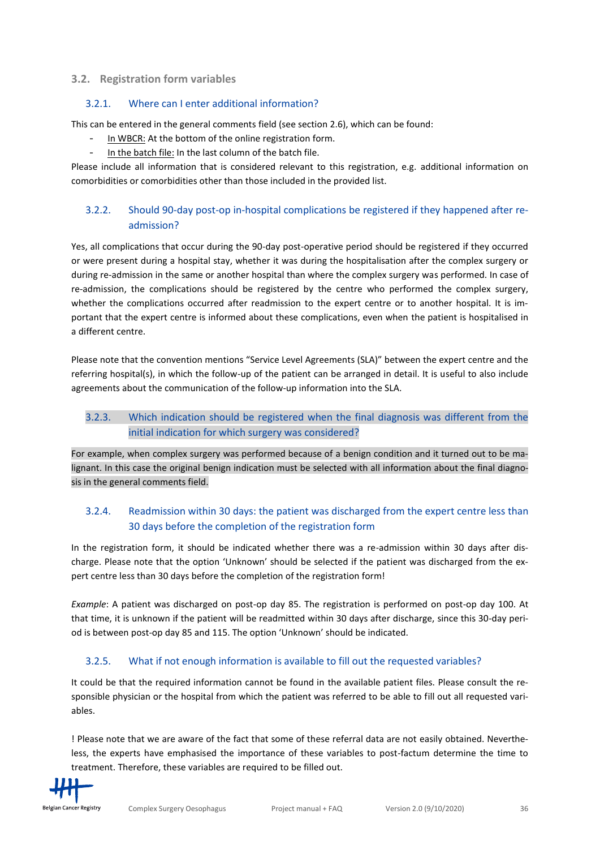#### **3.2. Registration form variables**

#### <span id="page-35-0"></span>3.2.1. Where can I enter additional information?

This can be entered in the general comments field (see section 2.6), which can be found:

- In WBCR: At the bottom of the online registration form.
- In the batch file: In the last column of the batch file.

Please include all information that is considered relevant to this registration, e.g. additional information on comorbidities or comorbidities other than those included in the provided list.

# <span id="page-35-1"></span>3.2.2. Should 90-day post-op in-hospital complications be registered if they happened after readmission?

Yes, all complications that occur during the 90-day post-operative period should be registered if they occurred or were present during a hospital stay, whether it was during the hospitalisation after the complex surgery or during re-admission in the same or another hospital than where the complex surgery was performed. In case of re-admission, the complications should be registered by the centre who performed the complex surgery, whether the complications occurred after readmission to the expert centre or to another hospital. It is important that the expert centre is informed about these complications, even when the patient is hospitalised in a different centre.

Please note that the convention mentions "Service Level Agreements (SLA)" between the expert centre and the referring hospital(s), in which the follow-up of the patient can be arranged in detail. It is useful to also include agreements about the communication of the follow-up information into the SLA.

## <span id="page-35-2"></span>3.2.3. Which indication should be registered when the final diagnosis was different from the initial indication for which surgery was considered?

For example, when complex surgery was performed because of a benign condition and it turned out to be malignant. In this case the original benign indication must be selected with all information about the final diagnosis in the general comments field.

### <span id="page-35-3"></span>3.2.4. Readmission within 30 days: the patient was discharged from the expert centre less than 30 days before the completion of the registration form

In the registration form, it should be indicated whether there was a re-admission within 30 days after discharge. Please note that the option 'Unknown' should be selected if the patient was discharged from the expert centre less than 30 days before the completion of the registration form!

*Example*: A patient was discharged on post-op day 85. The registration is performed on post-op day 100. At that time, it is unknown if the patient will be readmitted within 30 days after discharge, since this 30-day period is between post-op day 85 and 115. The option 'Unknown' should be indicated.

### <span id="page-35-4"></span>3.2.5. What if not enough information is available to fill out the requested variables?

It could be that the required information cannot be found in the available patient files. Please consult the responsible physician or the hospital from which the patient was referred to be able to fill out all requested variables.

! Please note that we are aware of the fact that some of these referral data are not easily obtained. Nevertheless, the experts have emphasised the importance of these variables to post-factum determine the time to treatment. Therefore, these variables are required to be filled out.

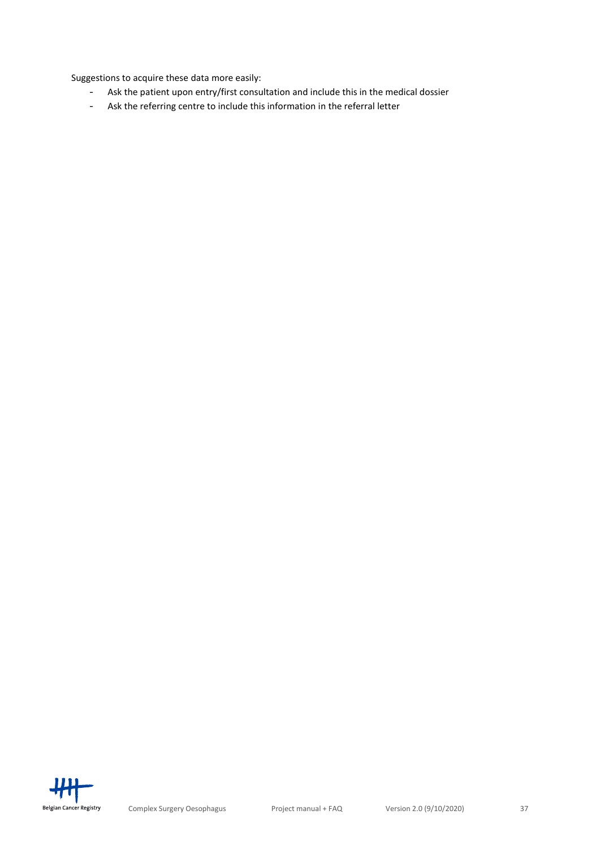Suggestions to acquire these data more easily:

- Ask the patient upon entry/first consultation and include this in the medical dossier
- Ask the referring centre to include this information in the referral letter

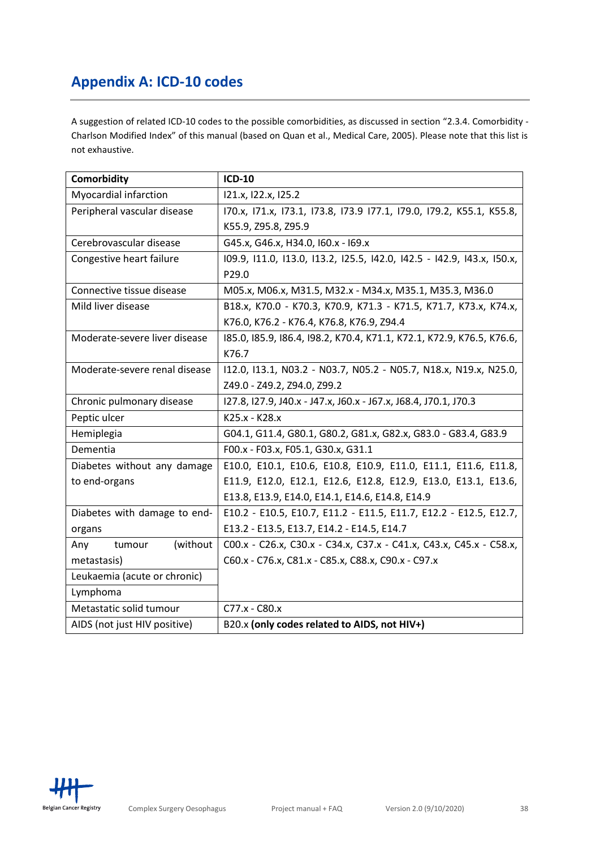# <span id="page-37-0"></span>**Appendix A: ICD-10 codes**

A suggestion of related ICD-10 codes to the possible comorbidities, as discussed in section "2.3.4. Comorbidity - Charlson Modified Index" of this manual (based on Quan et al., Medical Care, 2005). Please note that this list is not exhaustive.

| Comorbidity                   | <b>ICD-10</b>                                                          |
|-------------------------------|------------------------------------------------------------------------|
| Myocardial infarction         | 121.x, 122.x, 125.2                                                    |
| Peripheral vascular disease   | I70.x, I71.x, I73.1, I73.8, I73.9 I77.1, I79.0, I79.2, K55.1, K55.8,   |
|                               | K55.9, Z95.8, Z95.9                                                    |
| Cerebrovascular disease       | G45.x, G46.x, H34.0, I60.x - I69.x                                     |
| Congestive heart failure      | 109.9, 111.0, 113.0, 113.2, 125.5, 142.0, 142.5 - 142.9, 143.x, 150.x, |
|                               | P29.0                                                                  |
| Connective tissue disease     | M05.x, M06.x, M31.5, M32.x - M34.x, M35.1, M35.3, M36.0                |
| Mild liver disease            | B18.x, K70.0 - K70.3, K70.9, K71.3 - K71.5, K71.7, K73.x, K74.x,       |
|                               | K76.0, K76.2 - K76.4, K76.8, K76.9, Z94.4                              |
| Moderate-severe liver disease | 185.0, 185.9, 186.4, 198.2, K70.4, K71.1, K72.1, K72.9, K76.5, K76.6,  |
|                               | K76.7                                                                  |
| Moderate-severe renal disease | I12.0, I13.1, N03.2 - N03.7, N05.2 - N05.7, N18.x, N19.x, N25.0,       |
|                               | Z49.0 - Z49.2, Z94.0, Z99.2                                            |
| Chronic pulmonary disease     | 127.8, 127.9, J40.x - J47.x, J60.x - J67.x, J68.4, J70.1, J70.3        |
| Peptic ulcer                  | K25.x - K28.x                                                          |
| Hemiplegia                    | G04.1, G11.4, G80.1, G80.2, G81.x, G82.x, G83.0 - G83.4, G83.9         |
| Dementia                      | F00.x - F03.x, F05.1, G30.x, G31.1                                     |
| Diabetes without any damage   | E10.0, E10.1, E10.6, E10.8, E10.9, E11.0, E11.1, E11.6, E11.8,         |
| to end-organs                 | E11.9, E12.0, E12.1, E12.6, E12.8, E12.9, E13.0, E13.1, E13.6,         |
|                               | E13.8, E13.9, E14.0, E14.1, E14.6, E14.8, E14.9                        |
| Diabetes with damage to end-  | E10.2 - E10.5, E10.7, E11.2 - E11.5, E11.7, E12.2 - E12.5, E12.7,      |
| organs                        | E13.2 - E13.5, E13.7, E14.2 - E14.5, E14.7                             |
| (without)<br>Any<br>tumour    | COO.x - C26.x, C30.x - C34.x, C37.x - C41.x, C43.x, C45.x - C58.x,     |
| metastasis)                   | C60.x - C76.x, C81.x - C85.x, C88.x, C90.x - C97.x                     |
| Leukaemia (acute or chronic)  |                                                                        |
| Lymphoma                      |                                                                        |
| Metastatic solid tumour       | C77.x - C80.x                                                          |
| AIDS (not just HIV positive)  | B20.x (only codes related to AIDS, not HIV+)                           |

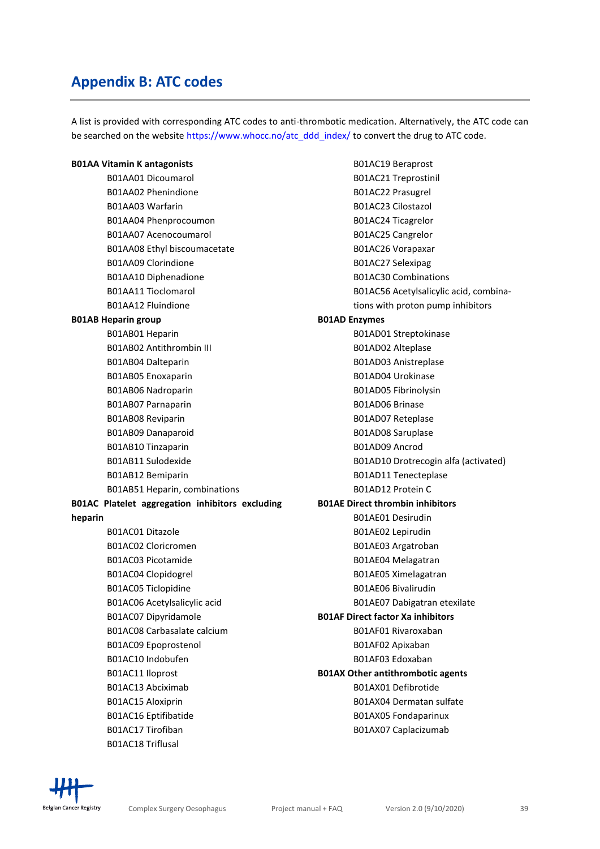# <span id="page-38-0"></span>**Appendix B: ATC codes**

A list is provided with corresponding ATC codes to anti-thrombotic medication. Alternatively, the ATC code can be searched on the website [https://www.whocc.no/atc\\_ddd\\_index/](https://www.whocc.no/atc_ddd_index/) to convert the drug to ATC code.

| <b>B01AA Vitamin K antagonists</b>              | B01AC19 Beraprost                        |
|-------------------------------------------------|------------------------------------------|
| B01AA01 Dicoumarol                              | B01AC21 Treprostinil                     |
| B01AA02 Phenindione                             | B01AC22 Prasugrel                        |
| B01AA03 Warfarin                                | B01AC23 Cilostazol                       |
| B01AA04 Phenprocoumon                           | B01AC24 Ticagrelor                       |
| B01AA07 Acenocoumarol                           | B01AC25 Cangrelor                        |
| B01AA08 Ethyl biscoumacetate                    | B01AC26 Vorapaxar                        |
| <b>B01AA09 Clorindione</b>                      | B01AC27 Selexipag                        |
| B01AA10 Diphenadione                            | <b>B01AC30 Combinations</b>              |
| <b>B01AA11 Tioclomarol</b>                      | B01AC56 Acetylsalicylic acid, combina-   |
| <b>B01AA12 Fluindione</b>                       | tions with proton pump inhibitors        |
| <b>B01AB Heparin group</b>                      | <b>B01AD Enzymes</b>                     |
| B01AB01 Heparin                                 | B01AD01 Streptokinase                    |
| <b>B01AB02 Antithrombin III</b>                 | B01AD02 Alteplase                        |
| B01AB04 Dalteparin                              | B01AD03 Anistreplase                     |
| B01AB05 Enoxaparin                              | B01AD04 Urokinase                        |
| B01AB06 Nadroparin                              | B01AD05 Fibrinolysin                     |
| B01AB07 Parnaparin                              | B01AD06 Brinase                          |
| B01AB08 Reviparin                               | B01AD07 Reteplase                        |
| B01AB09 Danaparoid                              | B01AD08 Saruplase                        |
| B01AB10 Tinzaparin                              | B01AD09 Ancrod                           |
| B01AB11 Sulodexide                              | B01AD10 Drotrecogin alfa (activated)     |
| B01AB12 Bemiparin                               | B01AD11 Tenecteplase                     |
| B01AB51 Heparin, combinations                   | B01AD12 Protein C                        |
| B01AC Platelet aggregation inhibitors excluding | <b>B01AE Direct thrombin inhibitors</b>  |
| heparin                                         | B01AE01 Desirudin                        |
| B01AC01 Ditazole                                | B01AE02 Lepirudin                        |
| B01AC02 Cloricromen                             | B01AE03 Argatroban                       |
| B01AC03 Picotamide                              | B01AE04 Melagatran                       |
| B01AC04 Clopidogrel                             | B01AE05 Ximelagatran                     |
| B01AC05 Ticlopidine                             | <b>B01AE06 Bivalirudin</b>               |
| B01AC06 Acetylsalicylic acid                    | B01AE07 Dabigatran etexilate             |
| B01AC07 Dipyridamole                            | <b>B01AF Direct factor Xa inhibitors</b> |
| B01AC08 Carbasalate calcium                     | B01AF01 Rivaroxaban                      |
| B01AC09 Epoprostenol                            | B01AF02 Apixaban                         |
| B01AC10 Indobufen                               | B01AF03 Edoxaban                         |
| B01AC11 Iloprost                                | <b>B01AX Other antithrombotic agents</b> |
| B01AC13 Abciximab                               | B01AX01 Defibrotide                      |
| B01AC15 Aloxiprin                               | B01AX04 Dermatan sulfate                 |
| B01AC16 Eptifibatide                            | B01AX05 Fondaparinux                     |
| B01AC17 Tirofiban                               | B01AX07 Caplacizumab                     |
| B01AC18 Triflusal                               |                                          |